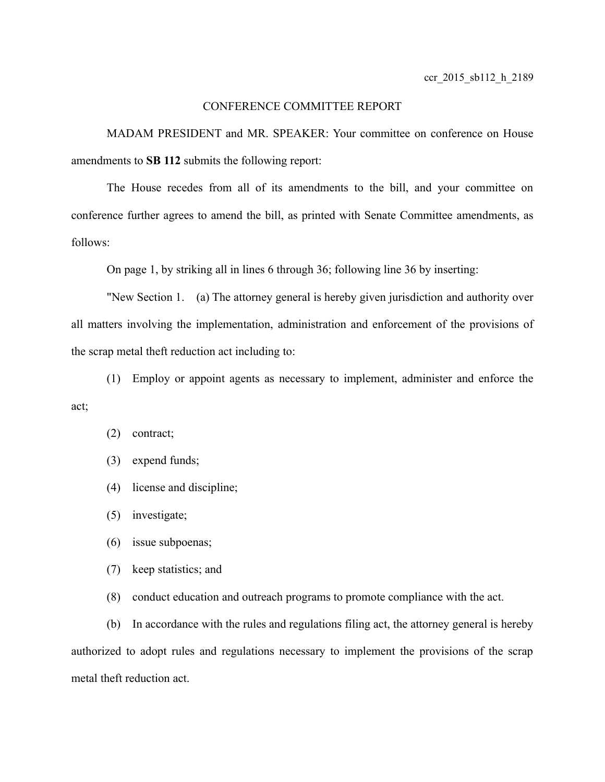# CONFERENCE COMMITTEE REPORT

MADAM PRESIDENT and MR. SPEAKER: Your committee on conference on House amendments to **SB 112** submits the following report:

The House recedes from all of its amendments to the bill, and your committee on conference further agrees to amend the bill, as printed with Senate Committee amendments, as follows:

On page 1, by striking all in lines 6 through 36; following line 36 by inserting:

"New Section 1. (a) The attorney general is hereby given jurisdiction and authority over all matters involving the implementation, administration and enforcement of the provisions of the scrap metal theft reduction act including to:

(1) Employ or appoint agents as necessary to implement, administer and enforce the act;

### (2) contract;

(3) expend funds;

- (4) license and discipline;
- (5) investigate;
- (6) issue subpoenas;
- (7) keep statistics; and
- (8) conduct education and outreach programs to promote compliance with the act.

(b) In accordance with the rules and regulations filing act, the attorney general is hereby authorized to adopt rules and regulations necessary to implement the provisions of the scrap metal theft reduction act.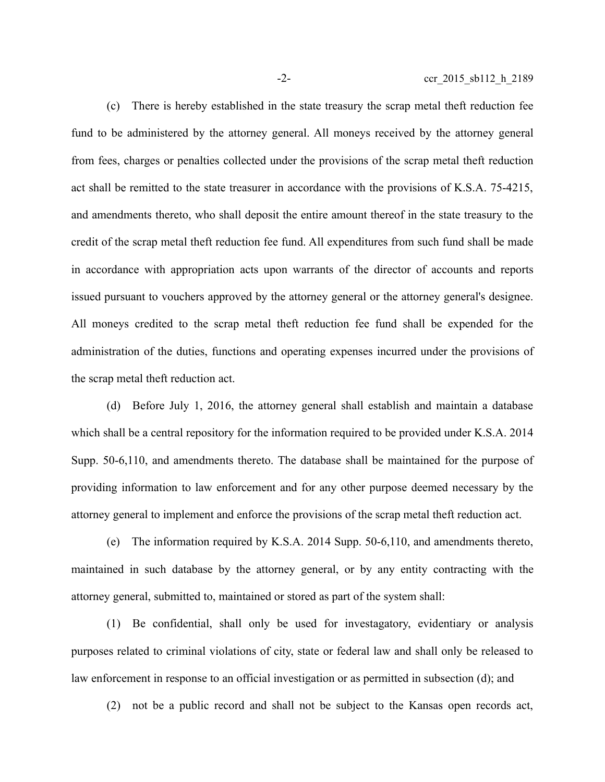(c) There is hereby established in the state treasury the scrap metal theft reduction fee fund to be administered by the attorney general. All moneys received by the attorney general from fees, charges or penalties collected under the provisions of the scrap metal theft reduction act shall be remitted to the state treasurer in accordance with the provisions of K.S.A. 75-4215, and amendments thereto, who shall deposit the entire amount thereof in the state treasury to the credit of the scrap metal theft reduction fee fund. All expenditures from such fund shall be made in accordance with appropriation acts upon warrants of the director of accounts and reports issued pursuant to vouchers approved by the attorney general or the attorney general's designee. All moneys credited to the scrap metal theft reduction fee fund shall be expended for the administration of the duties, functions and operating expenses incurred under the provisions of the scrap metal theft reduction act.

(d) Before July 1, 2016, the attorney general shall establish and maintain a database which shall be a central repository for the information required to be provided under K.S.A. 2014 Supp. 50-6,110, and amendments thereto. The database shall be maintained for the purpose of providing information to law enforcement and for any other purpose deemed necessary by the attorney general to implement and enforce the provisions of the scrap metal theft reduction act.

(e) The information required by K.S.A. 2014 Supp. 50-6,110, and amendments thereto, maintained in such database by the attorney general, or by any entity contracting with the attorney general, submitted to, maintained or stored as part of the system shall:

(1) Be confidential, shall only be used for investagatory, evidentiary or analysis purposes related to criminal violations of city, state or federal law and shall only be released to law enforcement in response to an official investigation or as permitted in subsection (d); and

(2) not be a public record and shall not be subject to the Kansas open records act,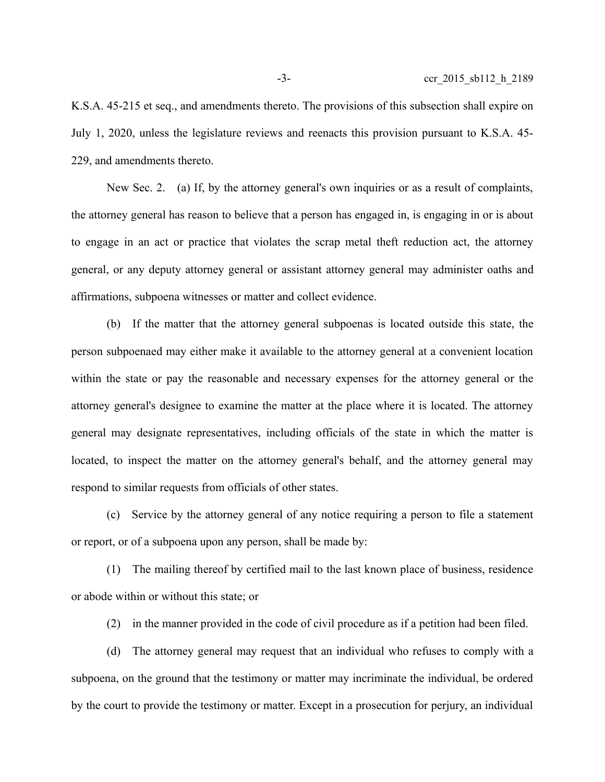K.S.A. 45-215 et seq., and amendments thereto. The provisions of this subsection shall expire on July 1, 2020, unless the legislature reviews and reenacts this provision pursuant to K.S.A. 45- 229, and amendments thereto.

New Sec. 2. (a) If, by the attorney general's own inquiries or as a result of complaints, the attorney general has reason to believe that a person has engaged in, is engaging in or is about to engage in an act or practice that violates the scrap metal theft reduction act, the attorney general, or any deputy attorney general or assistant attorney general may administer oaths and affirmations, subpoena witnesses or matter and collect evidence.

(b) If the matter that the attorney general subpoenas is located outside this state, the person subpoenaed may either make it available to the attorney general at a convenient location within the state or pay the reasonable and necessary expenses for the attorney general or the attorney general's designee to examine the matter at the place where it is located. The attorney general may designate representatives, including officials of the state in which the matter is located, to inspect the matter on the attorney general's behalf, and the attorney general may respond to similar requests from officials of other states.

(c) Service by the attorney general of any notice requiring a person to file a statement or report, or of a subpoena upon any person, shall be made by:

(1) The mailing thereof by certified mail to the last known place of business, residence or abode within or without this state; or

(2) in the manner provided in the code of civil procedure as if a petition had been filed.

(d) The attorney general may request that an individual who refuses to comply with a subpoena, on the ground that the testimony or matter may incriminate the individual, be ordered by the court to provide the testimony or matter. Except in a prosecution for perjury, an individual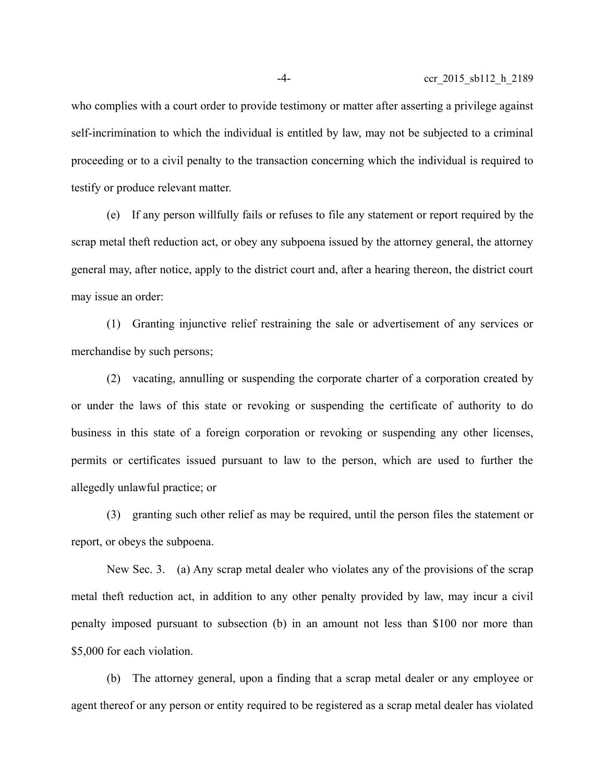who complies with a court order to provide testimony or matter after asserting a privilege against self-incrimination to which the individual is entitled by law, may not be subjected to a criminal proceeding or to a civil penalty to the transaction concerning which the individual is required to testify or produce relevant matter.

(e) If any person willfully fails or refuses to file any statement or report required by the scrap metal theft reduction act, or obey any subpoena issued by the attorney general, the attorney general may, after notice, apply to the district court and, after a hearing thereon, the district court may issue an order:

(1) Granting injunctive relief restraining the sale or advertisement of any services or merchandise by such persons;

(2) vacating, annulling or suspending the corporate charter of a corporation created by or under the laws of this state or revoking or suspending the certificate of authority to do business in this state of a foreign corporation or revoking or suspending any other licenses, permits or certificates issued pursuant to law to the person, which are used to further the allegedly unlawful practice; or

(3) granting such other relief as may be required, until the person files the statement or report, or obeys the subpoena.

New Sec. 3. (a) Any scrap metal dealer who violates any of the provisions of the scrap metal theft reduction act, in addition to any other penalty provided by law, may incur a civil penalty imposed pursuant to subsection (b) in an amount not less than \$100 nor more than \$5,000 for each violation.

(b) The attorney general, upon a finding that a scrap metal dealer or any employee or agent thereof or any person or entity required to be registered as a scrap metal dealer has violated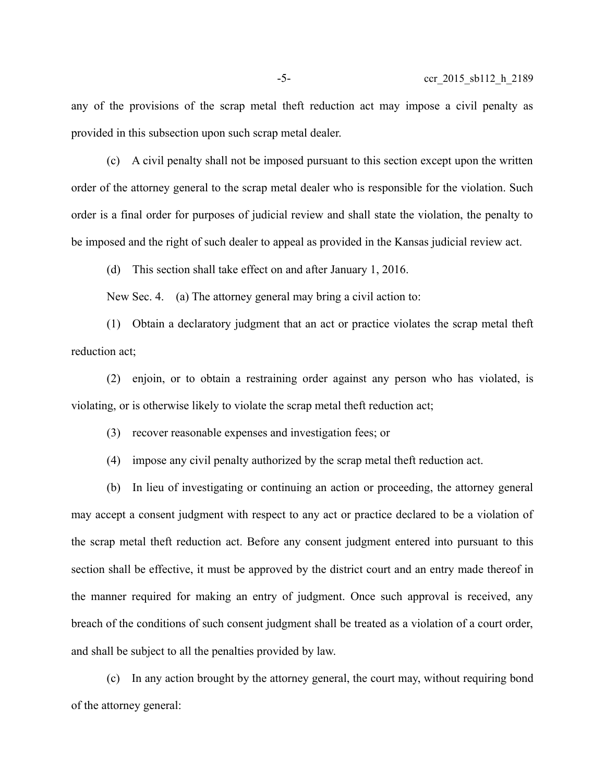any of the provisions of the scrap metal theft reduction act may impose a civil penalty as provided in this subsection upon such scrap metal dealer.

(c) A civil penalty shall not be imposed pursuant to this section except upon the written order of the attorney general to the scrap metal dealer who is responsible for the violation. Such order is a final order for purposes of judicial review and shall state the violation, the penalty to be imposed and the right of such dealer to appeal as provided in the Kansas judicial review act.

(d) This section shall take effect on and after January 1, 2016.

New Sec. 4. (a) The attorney general may bring a civil action to:

(1) Obtain a declaratory judgment that an act or practice violates the scrap metal theft reduction act;

(2) enjoin, or to obtain a restraining order against any person who has violated, is violating, or is otherwise likely to violate the scrap metal theft reduction act;

(3) recover reasonable expenses and investigation fees; or

(4) impose any civil penalty authorized by the scrap metal theft reduction act.

(b) In lieu of investigating or continuing an action or proceeding, the attorney general may accept a consent judgment with respect to any act or practice declared to be a violation of the scrap metal theft reduction act. Before any consent judgment entered into pursuant to this section shall be effective, it must be approved by the district court and an entry made thereof in the manner required for making an entry of judgment. Once such approval is received, any breach of the conditions of such consent judgment shall be treated as a violation of a court order, and shall be subject to all the penalties provided by law.

(c) In any action brought by the attorney general, the court may, without requiring bond of the attorney general: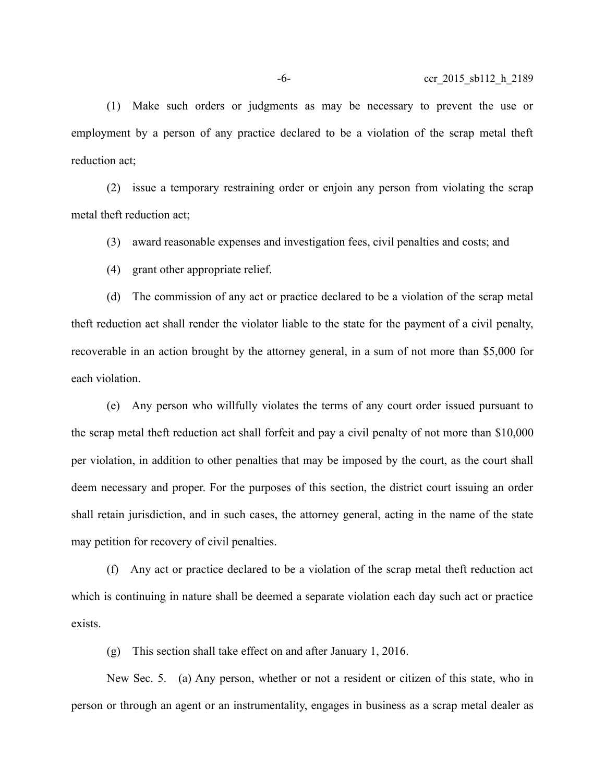(1) Make such orders or judgments as may be necessary to prevent the use or employment by a person of any practice declared to be a violation of the scrap metal theft reduction act;

(2) issue a temporary restraining order or enjoin any person from violating the scrap metal theft reduction act;

(3) award reasonable expenses and investigation fees, civil penalties and costs; and

(4) grant other appropriate relief.

(d) The commission of any act or practice declared to be a violation of the scrap metal theft reduction act shall render the violator liable to the state for the payment of a civil penalty, recoverable in an action brought by the attorney general, in a sum of not more than \$5,000 for each violation.

(e) Any person who willfully violates the terms of any court order issued pursuant to the scrap metal theft reduction act shall forfeit and pay a civil penalty of not more than \$10,000 per violation, in addition to other penalties that may be imposed by the court, as the court shall deem necessary and proper. For the purposes of this section, the district court issuing an order shall retain jurisdiction, and in such cases, the attorney general, acting in the name of the state may petition for recovery of civil penalties.

(f) Any act or practice declared to be a violation of the scrap metal theft reduction act which is continuing in nature shall be deemed a separate violation each day such act or practice exists.

(g) This section shall take effect on and after January 1, 2016.

New Sec. 5. (a) Any person, whether or not a resident or citizen of this state, who in person or through an agent or an instrumentality, engages in business as a scrap metal dealer as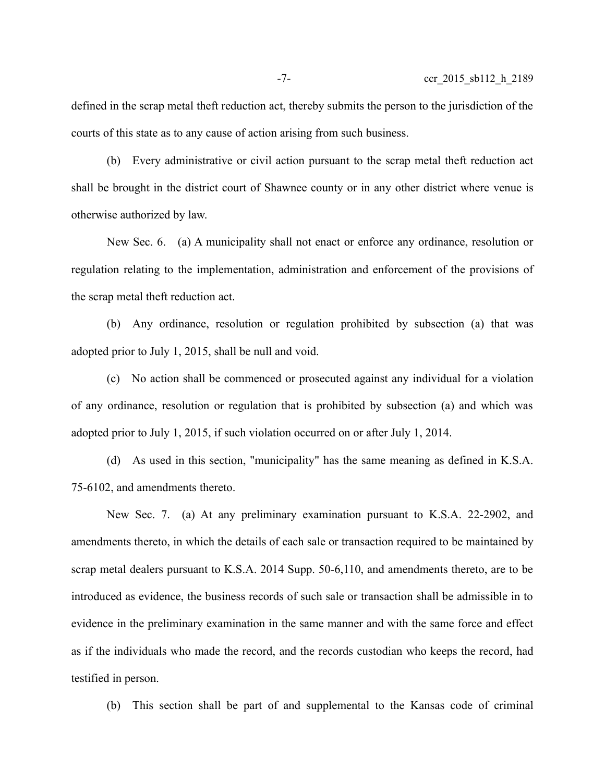defined in the scrap metal theft reduction act, thereby submits the person to the jurisdiction of the courts of this state as to any cause of action arising from such business.

(b) Every administrative or civil action pursuant to the scrap metal theft reduction act shall be brought in the district court of Shawnee county or in any other district where venue is otherwise authorized by law.

New Sec. 6. (a) A municipality shall not enact or enforce any ordinance, resolution or regulation relating to the implementation, administration and enforcement of the provisions of the scrap metal theft reduction act.

(b) Any ordinance, resolution or regulation prohibited by subsection (a) that was adopted prior to July 1, 2015, shall be null and void.

(c) No action shall be commenced or prosecuted against any individual for a violation of any ordinance, resolution or regulation that is prohibited by subsection (a) and which was adopted prior to July 1, 2015, if such violation occurred on or after July 1, 2014.

(d) As used in this section, "municipality" has the same meaning as defined in K.S.A. 75-6102, and amendments thereto.

New Sec. 7. (a) At any preliminary examination pursuant to K.S.A. 22-2902, and amendments thereto, in which the details of each sale or transaction required to be maintained by scrap metal dealers pursuant to K.S.A. 2014 Supp. 50-6,110, and amendments thereto, are to be introduced as evidence, the business records of such sale or transaction shall be admissible in to evidence in the preliminary examination in the same manner and with the same force and effect as if the individuals who made the record, and the records custodian who keeps the record, had testified in person.

(b) This section shall be part of and supplemental to the Kansas code of criminal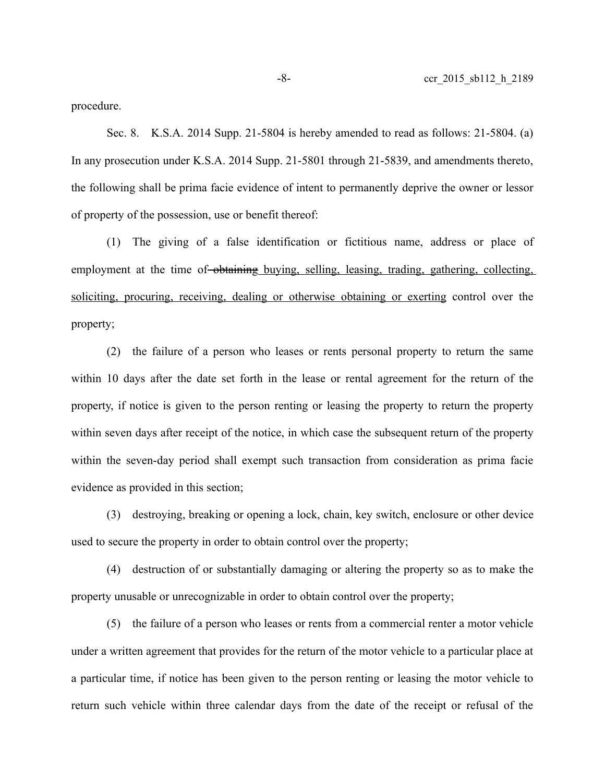procedure.

Sec. 8. K.S.A. 2014 Supp. 21-5804 is hereby amended to read as follows: 21-5804. (a) In any prosecution under K.S.A. 2014 Supp. 21-5801 through 21-5839, and amendments thereto, the following shall be prima facie evidence of intent to permanently deprive the owner or lessor of property of the possession, use or benefit thereof:

(1) The giving of a false identification or fictitious name, address or place of employment at the time of obtaining buying, selling, leasing, trading, gathering, collecting, soliciting, procuring, receiving, dealing or otherwise obtaining or exerting control over the property;

(2) the failure of a person who leases or rents personal property to return the same within 10 days after the date set forth in the lease or rental agreement for the return of the property, if notice is given to the person renting or leasing the property to return the property within seven days after receipt of the notice, in which case the subsequent return of the property within the seven-day period shall exempt such transaction from consideration as prima facie evidence as provided in this section;

(3) destroying, breaking or opening a lock, chain, key switch, enclosure or other device used to secure the property in order to obtain control over the property;

(4) destruction of or substantially damaging or altering the property so as to make the property unusable or unrecognizable in order to obtain control over the property;

(5) the failure of a person who leases or rents from a commercial renter a motor vehicle under a written agreement that provides for the return of the motor vehicle to a particular place at a particular time, if notice has been given to the person renting or leasing the motor vehicle to return such vehicle within three calendar days from the date of the receipt or refusal of the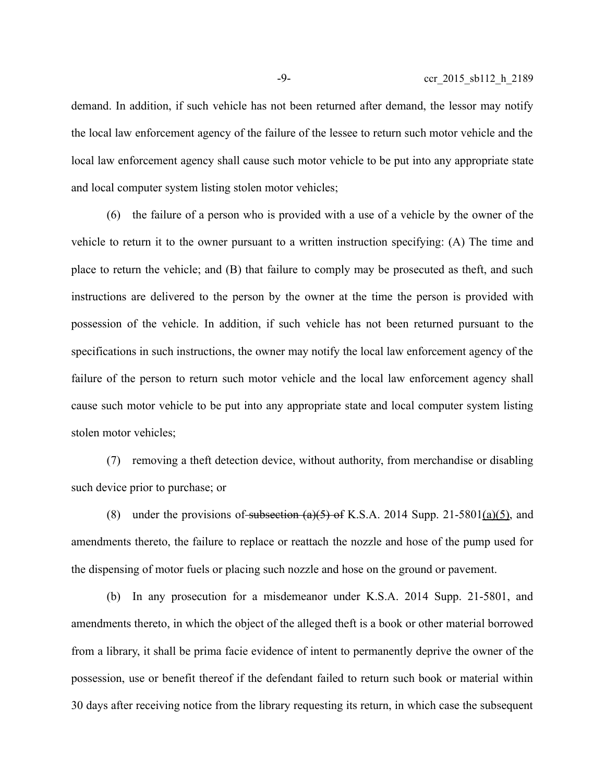demand. In addition, if such vehicle has not been returned after demand, the lessor may notify the local law enforcement agency of the failure of the lessee to return such motor vehicle and the local law enforcement agency shall cause such motor vehicle to be put into any appropriate state and local computer system listing stolen motor vehicles;

(6) the failure of a person who is provided with a use of a vehicle by the owner of the vehicle to return it to the owner pursuant to a written instruction specifying: (A) The time and place to return the vehicle; and (B) that failure to comply may be prosecuted as theft, and such instructions are delivered to the person by the owner at the time the person is provided with possession of the vehicle. In addition, if such vehicle has not been returned pursuant to the specifications in such instructions, the owner may notify the local law enforcement agency of the failure of the person to return such motor vehicle and the local law enforcement agency shall cause such motor vehicle to be put into any appropriate state and local computer system listing stolen motor vehicles;

(7) removing a theft detection device, without authority, from merchandise or disabling such device prior to purchase; or

(8) under the provisions of subsection  $(a)(5)$  of K.S.A. 2014 Supp. 21-5801(a)(5), and amendments thereto, the failure to replace or reattach the nozzle and hose of the pump used for the dispensing of motor fuels or placing such nozzle and hose on the ground or pavement.

(b) In any prosecution for a misdemeanor under K.S.A. 2014 Supp. 21-5801, and amendments thereto, in which the object of the alleged theft is a book or other material borrowed from a library, it shall be prima facie evidence of intent to permanently deprive the owner of the possession, use or benefit thereof if the defendant failed to return such book or material within 30 days after receiving notice from the library requesting its return, in which case the subsequent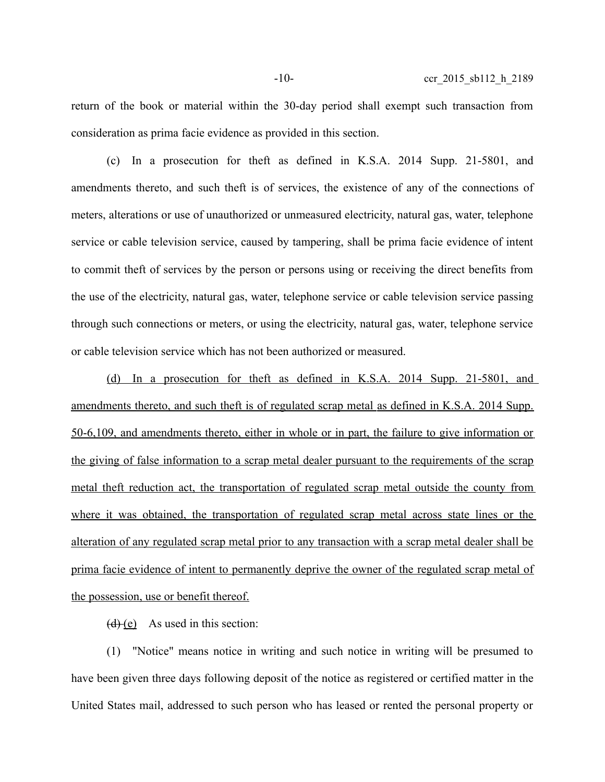return of the book or material within the 30-day period shall exempt such transaction from consideration as prima facie evidence as provided in this section.

(c) In a prosecution for theft as defined in K.S.A. 2014 Supp. 21-5801, and amendments thereto, and such theft is of services, the existence of any of the connections of meters, alterations or use of unauthorized or unmeasured electricity, natural gas, water, telephone service or cable television service, caused by tampering, shall be prima facie evidence of intent to commit theft of services by the person or persons using or receiving the direct benefits from the use of the electricity, natural gas, water, telephone service or cable television service passing through such connections or meters, or using the electricity, natural gas, water, telephone service or cable television service which has not been authorized or measured.

(d) In a prosecution for theft as defined in K.S.A. 2014 Supp. 21-5801, and amendments thereto, and such theft is of regulated scrap metal as defined in K.S.A. 2014 Supp. 50-6,109, and amendments thereto, either in whole or in part, the failure to give information or the giving of false information to a scrap metal dealer pursuant to the requirements of the scrap metal theft reduction act, the transportation of regulated scrap metal outside the county from where it was obtained, the transportation of regulated scrap metal across state lines or the alteration of any regulated scrap metal prior to any transaction with a scrap metal dealer shall be prima facie evidence of intent to permanently deprive the owner of the regulated scrap metal of the possession, use or benefit thereof.

 $(d)$  (e) As used in this section:

(1) "Notice" means notice in writing and such notice in writing will be presumed to have been given three days following deposit of the notice as registered or certified matter in the United States mail, addressed to such person who has leased or rented the personal property or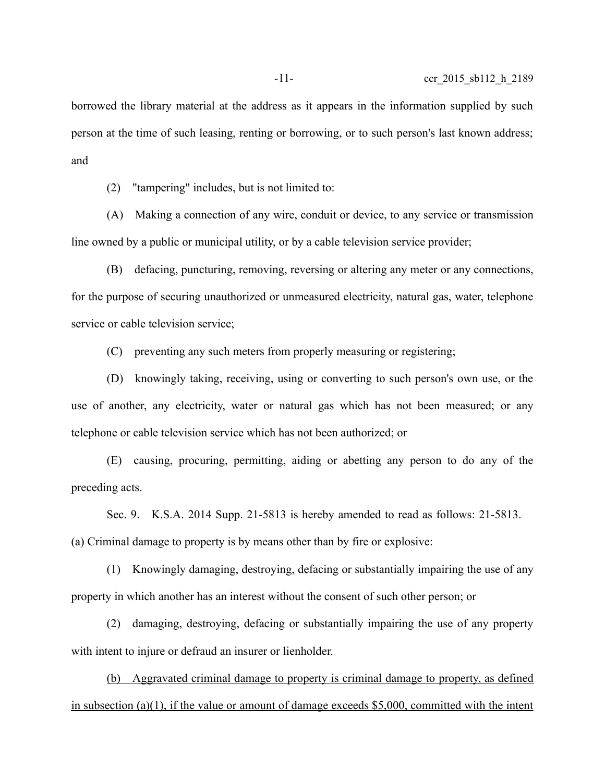borrowed the library material at the address as it appears in the information supplied by such person at the time of such leasing, renting or borrowing, or to such person's last known address; and

(2) "tampering" includes, but is not limited to:

(A) Making a connection of any wire, conduit or device, to any service or transmission line owned by a public or municipal utility, or by a cable television service provider;

(B) defacing, puncturing, removing, reversing or altering any meter or any connections, for the purpose of securing unauthorized or unmeasured electricity, natural gas, water, telephone service or cable television service;

(C) preventing any such meters from properly measuring or registering;

(D) knowingly taking, receiving, using or converting to such person's own use, or the use of another, any electricity, water or natural gas which has not been measured; or any telephone or cable television service which has not been authorized; or

(E) causing, procuring, permitting, aiding or abetting any person to do any of the preceding acts.

Sec. 9. K.S.A. 2014 Supp. 21-5813 is hereby amended to read as follows: 21-5813. (a) Criminal damage to property is by means other than by fire or explosive:

(1) Knowingly damaging, destroying, defacing or substantially impairing the use of any property in which another has an interest without the consent of such other person; or

(2) damaging, destroying, defacing or substantially impairing the use of any property with intent to injure or defraud an insurer or lienholder.

 (b) Aggravated criminal damage to property is criminal damage to property, as defined in subsection (a)(1), if the value or amount of damage exceeds \$5,000, committed with the intent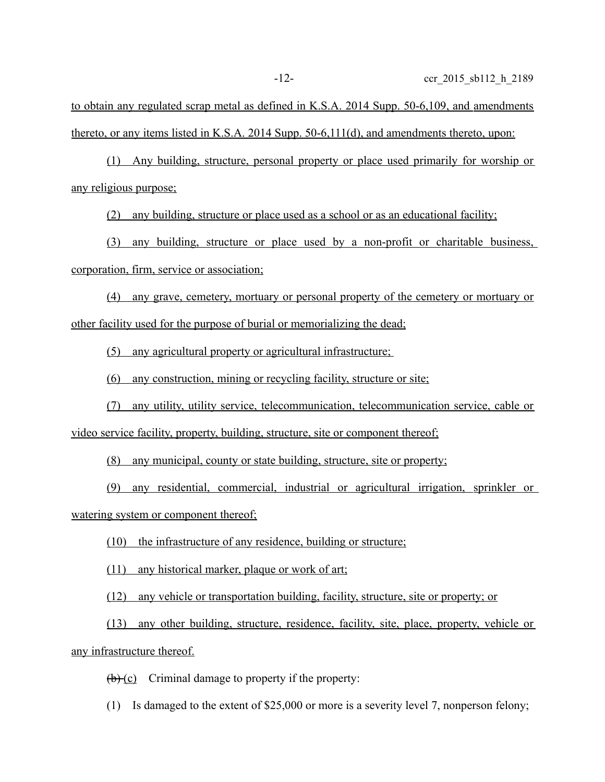to obtain any regulated scrap metal as defined in K.S.A. 2014 Supp. 50-6,109, and amendments thereto, or any items listed in K.S.A. 2014 Supp. 50-6,111(d), and amendments thereto, upon:

 (1) Any building, structure, personal property or place used primarily for worship or any religious purpose;

(2) any building, structure or place used as a school or as an educational facility;

(3) any building, structure or place used by a non-profit or charitable business, corporation, firm, service or association;

 (4) any grave, cemetery, mortuary or personal property of the cemetery or mortuary or other facility used for the purpose of burial or memorializing the dead;

(5) any agricultural property or agricultural infrastructure;

(6) any construction, mining or recycling facility, structure or site;

 (7) any utility, utility service, telecommunication, telecommunication service, cable or video service facility, property, building, structure, site or component thereof;

(8) any municipal, county or state building, structure, site or property;

(9) any residential, commercial, industrial or agricultural irrigation, sprinkler or watering system or component thereof;

(10) the infrastructure of any residence, building or structure;

(11) any historical marker, plaque or work of art;

(12) any vehicle or transportation building, facility, structure, site or property; or

(13) any other building, structure, residence, facility, site, place, property, vehicle or any infrastructure thereof.

 $(b)$  (c) Criminal damage to property if the property:

(1) Is damaged to the extent of \$25,000 or more is a severity level 7, nonperson felony;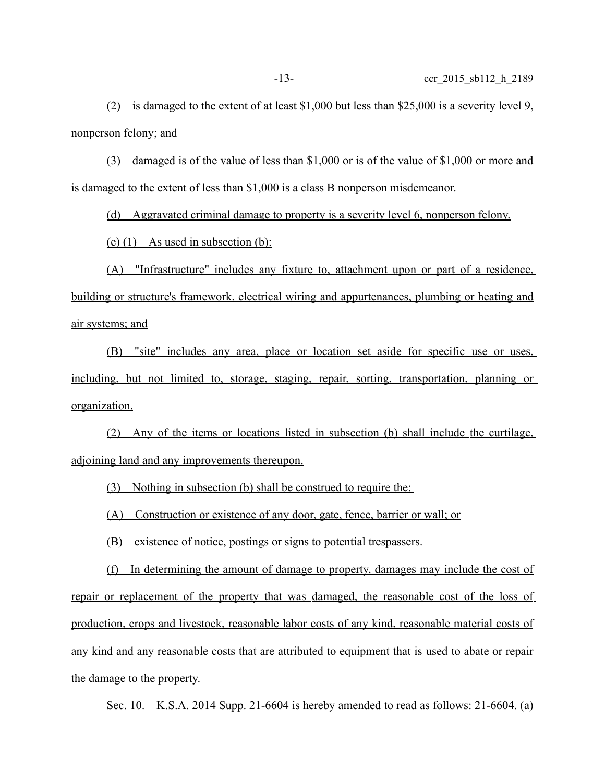(2) is damaged to the extent of at least \$1,000 but less than \$25,000 is a severity level 9, nonperson felony; and

(3) damaged is of the value of less than \$1,000 or is of the value of \$1,000 or more and is damaged to the extent of less than \$1,000 is a class B nonperson misdemeanor.

(d) Aggravated criminal damage to property is a severity level 6, nonperson felony.

(e)  $(1)$  As used in subsection  $(b)$ :

 (A) "Infrastructure" includes any fixture to, attachment upon or part of a residence, building or structure's framework, electrical wiring and appurtenances, plumbing or heating and air systems; and

 (B) "site" includes any area, place or location set aside for specific use or uses, including, but not limited to, storage, staging, repair, sorting, transportation, planning or organization.

 (2) Any of the items or locations listed in subsection (b) shall include the curtilage, adjoining land and any improvements thereupon.

(3) Nothing in subsection (b) shall be construed to require the:

(A) Construction or existence of any door, gate, fence, barrier or wall; or

(B) existence of notice, postings or signs to potential trespassers.

 (f) In determining the amount of damage to property, damages may include the cost of repair or replacement of the property that was damaged, the reasonable cost of the loss of production, crops and livestock, reasonable labor costs of any kind, reasonable material costs of any kind and any reasonable costs that are attributed to equipment that is used to abate or repair the damage to the property.

Sec. 10. K.S.A. 2014 Supp. 21-6604 is hereby amended to read as follows: 21-6604. (a)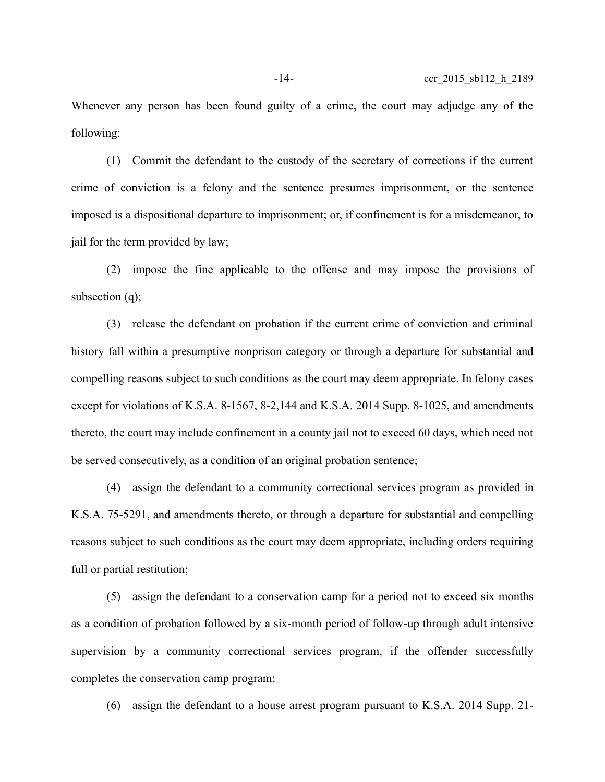Whenever any person has been found guilty of a crime, the court may adjudge any of the following:

(1) Commit the defendant to the custody of the secretary of corrections if the current crime of conviction is a felony and the sentence presumes imprisonment, or the sentence imposed is a dispositional departure to imprisonment; or, if confinement is for a misdemeanor, to jail for the term provided by law;

(2) impose the fine applicable to the offense and may impose the provisions of subsection (q);

(3) release the defendant on probation if the current crime of conviction and criminal history fall within a presumptive nonprison category or through a departure for substantial and compelling reasons subject to such conditions as the court may deem appropriate. In felony cases except for violations of K.S.A. 8-1567, 8-2,144 and K.S.A. 2014 Supp. 8-1025, and amendments thereto, the court may include confinement in a county jail not to exceed 60 days, which need not be served consecutively, as a condition of an original probation sentence;

(4) assign the defendant to a community correctional services program as provided in K.S.A. 75-5291, and amendments thereto, or through a departure for substantial and compelling reasons subject to such conditions as the court may deem appropriate, including orders requiring full or partial restitution;

(5) assign the defendant to a conservation camp for a period not to exceed six months as a condition of probation followed by a six-month period of follow-up through adult intensive supervision by a community correctional services program, if the offender successfully completes the conservation camp program;

(6) assign the defendant to a house arrest program pursuant to K.S.A. 2014 Supp. 21-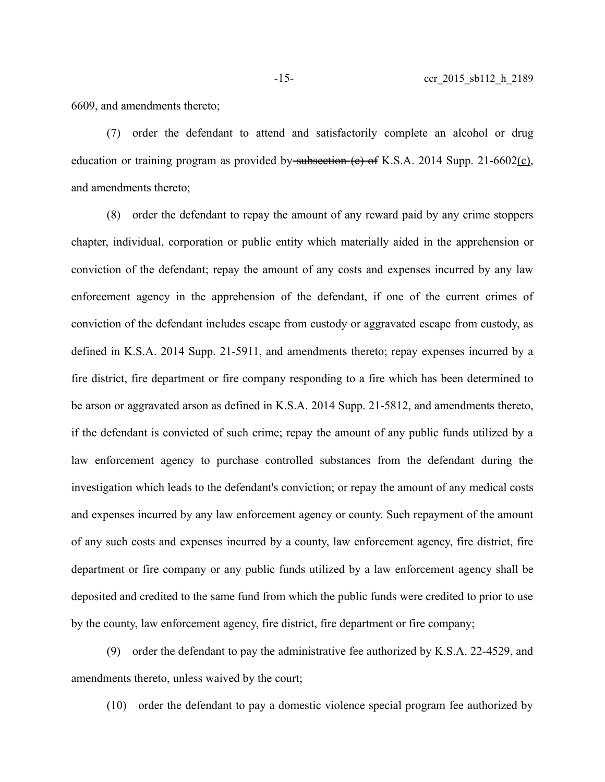6609, and amendments thereto;

(7) order the defendant to attend and satisfactorily complete an alcohol or drug education or training program as provided by subsection  $(e)$  of K.S.A. 2014 Supp. 21-6602 $(c)$ , and amendments thereto;

(8) order the defendant to repay the amount of any reward paid by any crime stoppers chapter, individual, corporation or public entity which materially aided in the apprehension or conviction of the defendant; repay the amount of any costs and expenses incurred by any law enforcement agency in the apprehension of the defendant, if one of the current crimes of conviction of the defendant includes escape from custody or aggravated escape from custody, as defined in K.S.A. 2014 Supp. 21-5911, and amendments thereto; repay expenses incurred by a fire district, fire department or fire company responding to a fire which has been determined to be arson or aggravated arson as defined in K.S.A. 2014 Supp. 21-5812, and amendments thereto, if the defendant is convicted of such crime; repay the amount of any public funds utilized by a law enforcement agency to purchase controlled substances from the defendant during the investigation which leads to the defendant's conviction; or repay the amount of any medical costs and expenses incurred by any law enforcement agency or county. Such repayment of the amount of any such costs and expenses incurred by a county, law enforcement agency, fire district, fire department or fire company or any public funds utilized by a law enforcement agency shall be deposited and credited to the same fund from which the public funds were credited to prior to use by the county, law enforcement agency, fire district, fire department or fire company;

(9) order the defendant to pay the administrative fee authorized by K.S.A. 22-4529, and amendments thereto, unless waived by the court;

(10) order the defendant to pay a domestic violence special program fee authorized by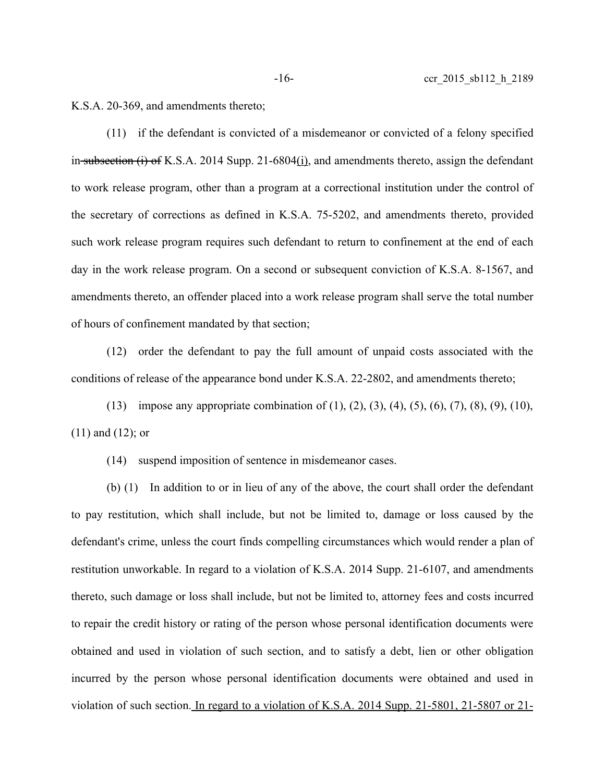K.S.A. 20-369, and amendments thereto;

(11) if the defendant is convicted of a misdemeanor or convicted of a felony specified in subsection  $(i)$  of K.S.A. 2014 Supp. 21-6804 $(i)$ , and amendments thereto, assign the defendant to work release program, other than a program at a correctional institution under the control of the secretary of corrections as defined in K.S.A. 75-5202, and amendments thereto, provided such work release program requires such defendant to return to confinement at the end of each day in the work release program. On a second or subsequent conviction of K.S.A. 8-1567, and amendments thereto, an offender placed into a work release program shall serve the total number of hours of confinement mandated by that section;

(12) order the defendant to pay the full amount of unpaid costs associated with the conditions of release of the appearance bond under K.S.A. 22-2802, and amendments thereto;

(13) impose any appropriate combination of (1), (2), (3), (4), (5), (6), (7), (8), (9), (10), (11) and (12); or

(14) suspend imposition of sentence in misdemeanor cases.

(b) (1) In addition to or in lieu of any of the above, the court shall order the defendant to pay restitution, which shall include, but not be limited to, damage or loss caused by the defendant's crime, unless the court finds compelling circumstances which would render a plan of restitution unworkable. In regard to a violation of K.S.A. 2014 Supp. 21-6107, and amendments thereto, such damage or loss shall include, but not be limited to, attorney fees and costs incurred to repair the credit history or rating of the person whose personal identification documents were obtained and used in violation of such section, and to satisfy a debt, lien or other obligation incurred by the person whose personal identification documents were obtained and used in violation of such section. In regard to a violation of K.S.A. 2014 Supp. 21-5801, 21-5807 or 21-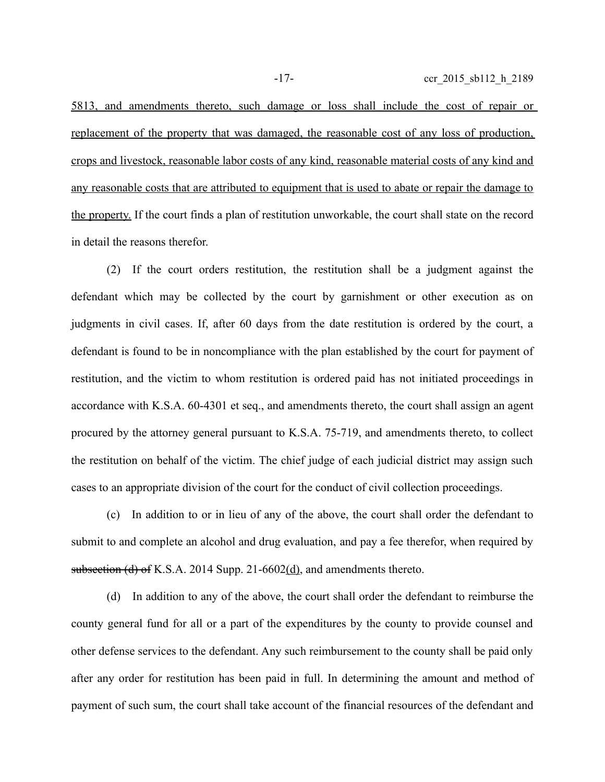5813, and amendments thereto, such damage or loss shall include the cost of repair or replacement of the property that was damaged, the reasonable cost of any loss of production, crops and livestock, reasonable labor costs of any kind, reasonable material costs of any kind and any reasonable costs that are attributed to equipment that is used to abate or repair the damage to the property. If the court finds a plan of restitution unworkable, the court shall state on the record

(2) If the court orders restitution, the restitution shall be a judgment against the defendant which may be collected by the court by garnishment or other execution as on judgments in civil cases. If, after 60 days from the date restitution is ordered by the court, a defendant is found to be in noncompliance with the plan established by the court for payment of restitution, and the victim to whom restitution is ordered paid has not initiated proceedings in accordance with K.S.A. 60-4301 et seq., and amendments thereto, the court shall assign an agent procured by the attorney general pursuant to K.S.A. 75-719, and amendments thereto, to collect the restitution on behalf of the victim. The chief judge of each judicial district may assign such cases to an appropriate division of the court for the conduct of civil collection proceedings.

(c) In addition to or in lieu of any of the above, the court shall order the defendant to submit to and complete an alcohol and drug evaluation, and pay a fee therefor, when required by subsection (d) of K.S.A. 2014 Supp. 21-6602(d), and amendments thereto.

(d) In addition to any of the above, the court shall order the defendant to reimburse the county general fund for all or a part of the expenditures by the county to provide counsel and other defense services to the defendant. Any such reimbursement to the county shall be paid only after any order for restitution has been paid in full. In determining the amount and method of payment of such sum, the court shall take account of the financial resources of the defendant and

in detail the reasons therefor.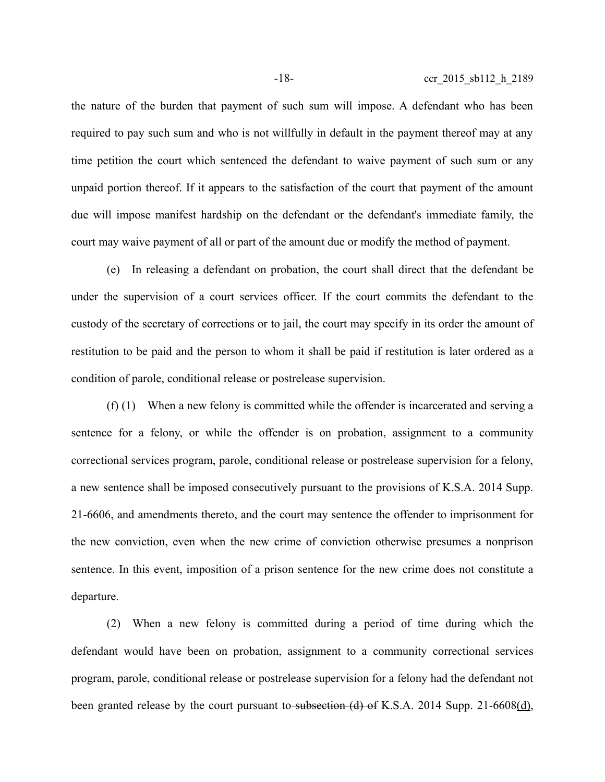the nature of the burden that payment of such sum will impose. A defendant who has been required to pay such sum and who is not willfully in default in the payment thereof may at any time petition the court which sentenced the defendant to waive payment of such sum or any unpaid portion thereof. If it appears to the satisfaction of the court that payment of the amount due will impose manifest hardship on the defendant or the defendant's immediate family, the court may waive payment of all or part of the amount due or modify the method of payment.

(e) In releasing a defendant on probation, the court shall direct that the defendant be under the supervision of a court services officer. If the court commits the defendant to the custody of the secretary of corrections or to jail, the court may specify in its order the amount of restitution to be paid and the person to whom it shall be paid if restitution is later ordered as a condition of parole, conditional release or postrelease supervision.

(f) (1) When a new felony is committed while the offender is incarcerated and serving a sentence for a felony, or while the offender is on probation, assignment to a community correctional services program, parole, conditional release or postrelease supervision for a felony, a new sentence shall be imposed consecutively pursuant to the provisions of K.S.A. 2014 Supp. 21-6606, and amendments thereto, and the court may sentence the offender to imprisonment for the new conviction, even when the new crime of conviction otherwise presumes a nonprison sentence. In this event, imposition of a prison sentence for the new crime does not constitute a departure.

(2) When a new felony is committed during a period of time during which the defendant would have been on probation, assignment to a community correctional services program, parole, conditional release or postrelease supervision for a felony had the defendant not been granted release by the court pursuant to subsection (d) of K.S.A. 2014 Supp. 21-6608(d),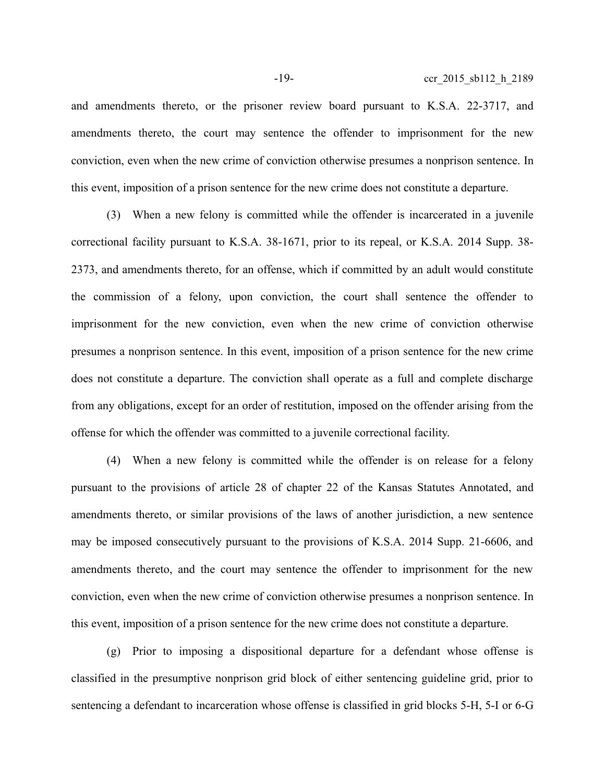and amendments thereto, or the prisoner review board pursuant to K.S.A. 22-3717, and amendments thereto, the court may sentence the offender to imprisonment for the new conviction, even when the new crime of conviction otherwise presumes a nonprison sentence. In this event, imposition of a prison sentence for the new crime does not constitute a departure.

(3) When a new felony is committed while the offender is incarcerated in a juvenile correctional facility pursuant to K.S.A. 38-1671, prior to its repeal, or K.S.A. 2014 Supp. 38- 2373, and amendments thereto, for an offense, which if committed by an adult would constitute the commission of a felony, upon conviction, the court shall sentence the offender to imprisonment for the new conviction, even when the new crime of conviction otherwise presumes a nonprison sentence. In this event, imposition of a prison sentence for the new crime does not constitute a departure. The conviction shall operate as a full and complete discharge from any obligations, except for an order of restitution, imposed on the offender arising from the offense for which the offender was committed to a juvenile correctional facility.

(4) When a new felony is committed while the offender is on release for a felony pursuant to the provisions of article 28 of chapter 22 of the Kansas Statutes Annotated, and amendments thereto, or similar provisions of the laws of another jurisdiction, a new sentence may be imposed consecutively pursuant to the provisions of K.S.A. 2014 Supp. 21-6606, and amendments thereto, and the court may sentence the offender to imprisonment for the new conviction, even when the new crime of conviction otherwise presumes a nonprison sentence. In this event, imposition of a prison sentence for the new crime does not constitute a departure.

(g) Prior to imposing a dispositional departure for a defendant whose offense is classified in the presumptive nonprison grid block of either sentencing guideline grid, prior to sentencing a defendant to incarceration whose offense is classified in grid blocks 5-H, 5-I or 6-G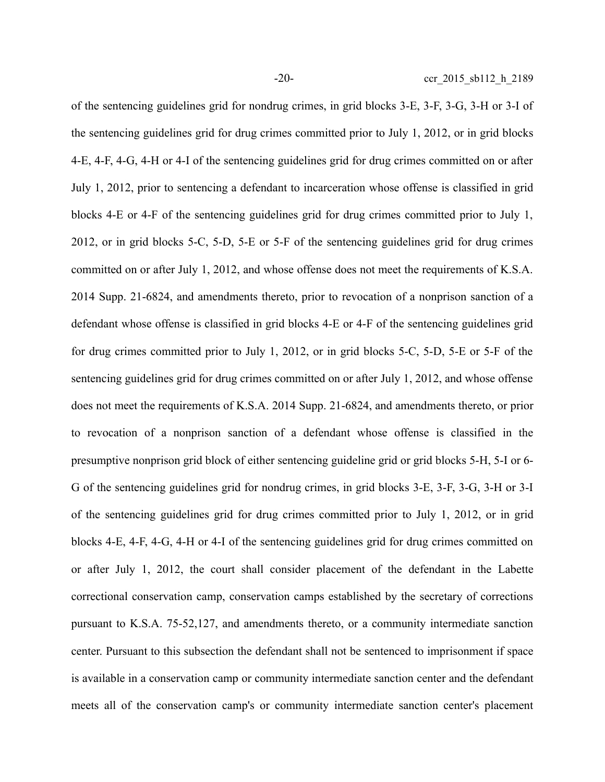of the sentencing guidelines grid for nondrug crimes, in grid blocks 3-E, 3-F, 3-G, 3-H or 3-I of the sentencing guidelines grid for drug crimes committed prior to July 1, 2012, or in grid blocks 4-E, 4-F, 4-G, 4-H or 4-I of the sentencing guidelines grid for drug crimes committed on or after July 1, 2012, prior to sentencing a defendant to incarceration whose offense is classified in grid blocks 4-E or 4-F of the sentencing guidelines grid for drug crimes committed prior to July 1, 2012, or in grid blocks 5-C, 5-D, 5-E or 5-F of the sentencing guidelines grid for drug crimes committed on or after July 1, 2012, and whose offense does not meet the requirements of K.S.A. 2014 Supp. 21-6824, and amendments thereto, prior to revocation of a nonprison sanction of a defendant whose offense is classified in grid blocks 4-E or 4-F of the sentencing guidelines grid for drug crimes committed prior to July 1, 2012, or in grid blocks 5-C, 5-D, 5-E or 5-F of the sentencing guidelines grid for drug crimes committed on or after July 1, 2012, and whose offense does not meet the requirements of K.S.A. 2014 Supp. 21-6824, and amendments thereto, or prior to revocation of a nonprison sanction of a defendant whose offense is classified in the presumptive nonprison grid block of either sentencing guideline grid or grid blocks 5-H, 5-I or 6- G of the sentencing guidelines grid for nondrug crimes, in grid blocks 3-E, 3-F, 3-G, 3-H or 3-I of the sentencing guidelines grid for drug crimes committed prior to July 1, 2012, or in grid blocks 4-E, 4-F, 4-G, 4-H or 4-I of the sentencing guidelines grid for drug crimes committed on or after July 1, 2012, the court shall consider placement of the defendant in the Labette correctional conservation camp, conservation camps established by the secretary of corrections pursuant to K.S.A. 75-52,127, and amendments thereto, or a community intermediate sanction center. Pursuant to this subsection the defendant shall not be sentenced to imprisonment if space is available in a conservation camp or community intermediate sanction center and the defendant meets all of the conservation camp's or community intermediate sanction center's placement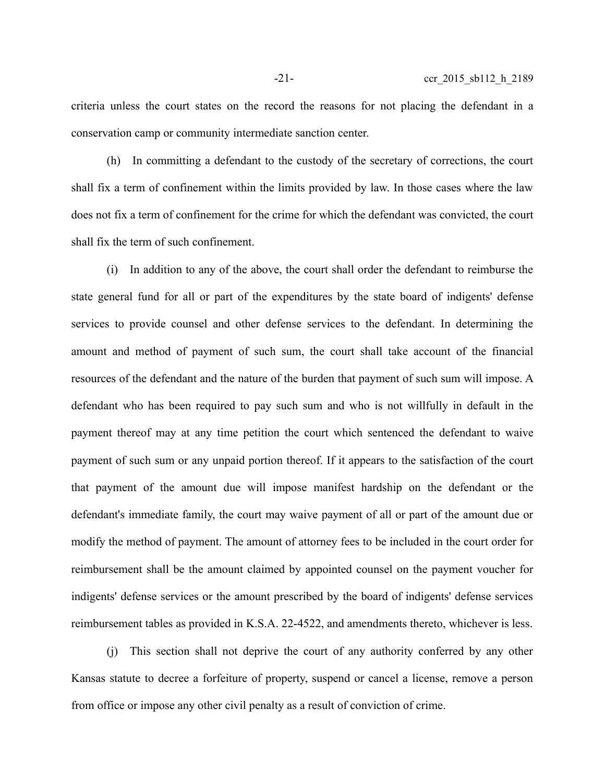criteria unless the court states on the record the reasons for not placing the defendant in a conservation camp or community intermediate sanction center.

(h) In committing a defendant to the custody of the secretary of corrections, the court shall fix a term of confinement within the limits provided by law. In those cases where the law does not fix a term of confinement for the crime for which the defendant was convicted, the court shall fix the term of such confinement.

(i) In addition to any of the above, the court shall order the defendant to reimburse the state general fund for all or part of the expenditures by the state board of indigents' defense services to provide counsel and other defense services to the defendant. In determining the amount and method of payment of such sum, the court shall take account of the financial resources of the defendant and the nature of the burden that payment of such sum will impose. A defendant who has been required to pay such sum and who is not willfully in default in the payment thereof may at any time petition the court which sentenced the defendant to waive payment of such sum or any unpaid portion thereof. If it appears to the satisfaction of the court that payment of the amount due will impose manifest hardship on the defendant or the defendant's immediate family, the court may waive payment of all or part of the amount due or modify the method of payment. The amount of attorney fees to be included in the court order for reimbursement shall be the amount claimed by appointed counsel on the payment voucher for indigents' defense services or the amount prescribed by the board of indigents' defense services reimbursement tables as provided in K.S.A. 22-4522, and amendments thereto, whichever is less.

(j) This section shall not deprive the court of any authority conferred by any other Kansas statute to decree a forfeiture of property, suspend or cancel a license, remove a person from office or impose any other civil penalty as a result of conviction of crime.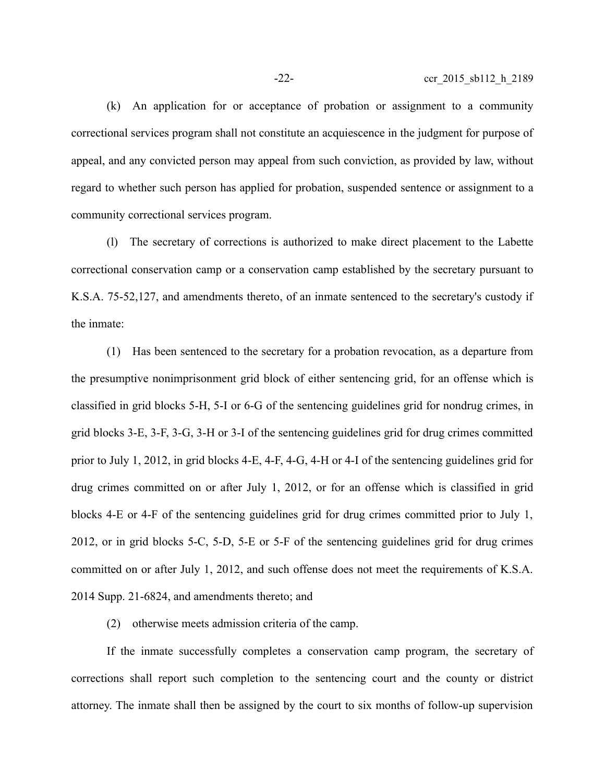(k) An application for or acceptance of probation or assignment to a community correctional services program shall not constitute an acquiescence in the judgment for purpose of appeal, and any convicted person may appeal from such conviction, as provided by law, without regard to whether such person has applied for probation, suspended sentence or assignment to a community correctional services program.

(l) The secretary of corrections is authorized to make direct placement to the Labette correctional conservation camp or a conservation camp established by the secretary pursuant to K.S.A. 75-52,127, and amendments thereto, of an inmate sentenced to the secretary's custody if the inmate:

(1) Has been sentenced to the secretary for a probation revocation, as a departure from the presumptive nonimprisonment grid block of either sentencing grid, for an offense which is classified in grid blocks 5-H, 5-I or 6-G of the sentencing guidelines grid for nondrug crimes, in grid blocks 3-E, 3-F, 3-G, 3-H or 3-I of the sentencing guidelines grid for drug crimes committed prior to July 1, 2012, in grid blocks 4-E, 4-F, 4-G, 4-H or 4-I of the sentencing guidelines grid for drug crimes committed on or after July 1, 2012, or for an offense which is classified in grid blocks 4-E or 4-F of the sentencing guidelines grid for drug crimes committed prior to July 1, 2012, or in grid blocks 5-C, 5-D, 5-E or 5-F of the sentencing guidelines grid for drug crimes committed on or after July 1, 2012, and such offense does not meet the requirements of K.S.A. 2014 Supp. 21-6824, and amendments thereto; and

(2) otherwise meets admission criteria of the camp.

If the inmate successfully completes a conservation camp program, the secretary of corrections shall report such completion to the sentencing court and the county or district attorney. The inmate shall then be assigned by the court to six months of follow-up supervision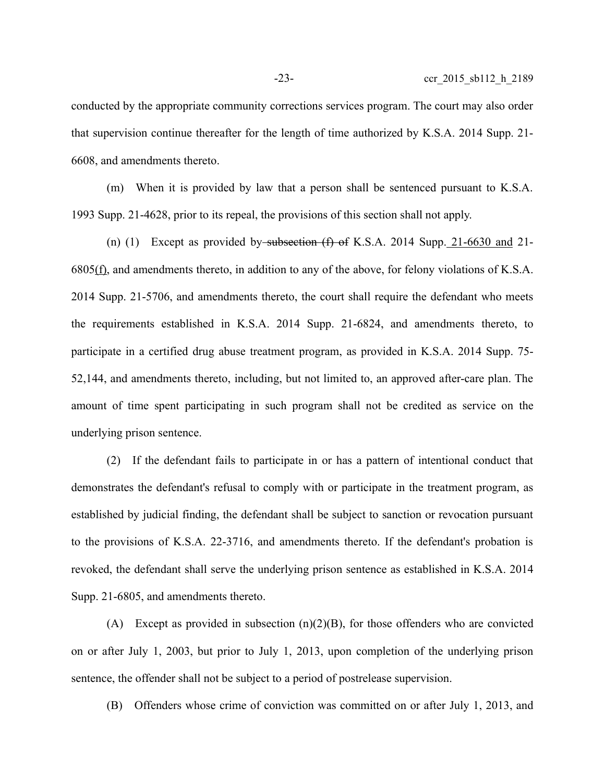conducted by the appropriate community corrections services program. The court may also order that supervision continue thereafter for the length of time authorized by K.S.A. 2014 Supp. 21- 6608, and amendments thereto.

(m) When it is provided by law that a person shall be sentenced pursuant to K.S.A. 1993 Supp. 21-4628, prior to its repeal, the provisions of this section shall not apply.

(n) (1) Except as provided by subsection  $(f)$  of K.S.A. 2014 Supp. 21-6630 and 21- $6805(\text{f})$ , and amendments thereto, in addition to any of the above, for felony violations of K.S.A. 2014 Supp. 21-5706, and amendments thereto, the court shall require the defendant who meets the requirements established in K.S.A. 2014 Supp. 21-6824, and amendments thereto, to participate in a certified drug abuse treatment program, as provided in K.S.A. 2014 Supp. 75- 52,144, and amendments thereto, including, but not limited to, an approved after-care plan. The amount of time spent participating in such program shall not be credited as service on the underlying prison sentence.

(2) If the defendant fails to participate in or has a pattern of intentional conduct that demonstrates the defendant's refusal to comply with or participate in the treatment program, as established by judicial finding, the defendant shall be subject to sanction or revocation pursuant to the provisions of K.S.A. 22-3716, and amendments thereto. If the defendant's probation is revoked, the defendant shall serve the underlying prison sentence as established in K.S.A. 2014 Supp. 21-6805, and amendments thereto.

(A) Except as provided in subsection  $(n)(2)(B)$ , for those offenders who are convicted on or after July 1, 2003, but prior to July 1, 2013, upon completion of the underlying prison sentence, the offender shall not be subject to a period of postrelease supervision.

(B) Offenders whose crime of conviction was committed on or after July 1, 2013, and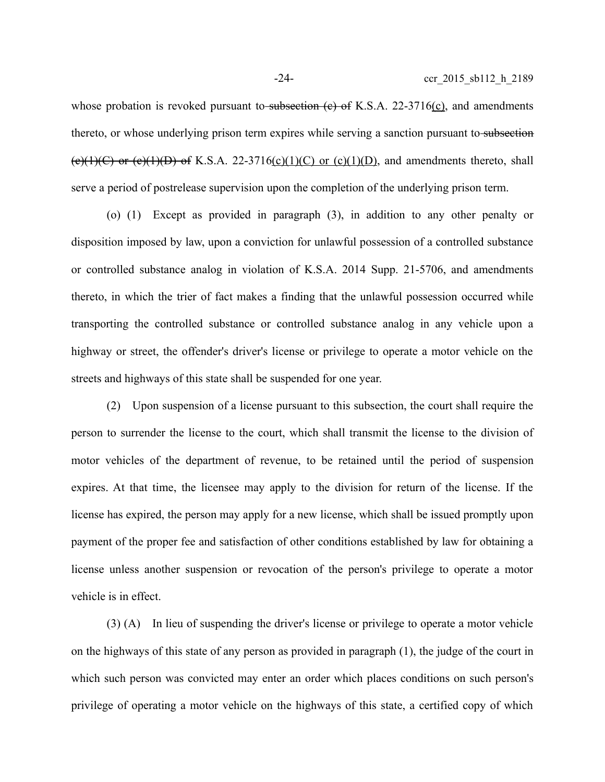whose probation is revoked pursuant to subsection  $(e)$  of K.S.A. 22-3716(c), and amendments thereto, or whose underlying prison term expires while serving a sanction pursuant to subsection (e)(1)(C) or (e)(1)(D) of K.S.A. 22-3716(c)(1)(C) or (c)(1)(D), and amendments thereto, shall serve a period of postrelease supervision upon the completion of the underlying prison term.

(o) (1) Except as provided in paragraph (3), in addition to any other penalty or disposition imposed by law, upon a conviction for unlawful possession of a controlled substance or controlled substance analog in violation of K.S.A. 2014 Supp. 21-5706, and amendments thereto, in which the trier of fact makes a finding that the unlawful possession occurred while transporting the controlled substance or controlled substance analog in any vehicle upon a highway or street, the offender's driver's license or privilege to operate a motor vehicle on the streets and highways of this state shall be suspended for one year.

(2) Upon suspension of a license pursuant to this subsection, the court shall require the person to surrender the license to the court, which shall transmit the license to the division of motor vehicles of the department of revenue, to be retained until the period of suspension expires. At that time, the licensee may apply to the division for return of the license. If the license has expired, the person may apply for a new license, which shall be issued promptly upon payment of the proper fee and satisfaction of other conditions established by law for obtaining a license unless another suspension or revocation of the person's privilege to operate a motor vehicle is in effect.

(3) (A) In lieu of suspending the driver's license or privilege to operate a motor vehicle on the highways of this state of any person as provided in paragraph (1), the judge of the court in which such person was convicted may enter an order which places conditions on such person's privilege of operating a motor vehicle on the highways of this state, a certified copy of which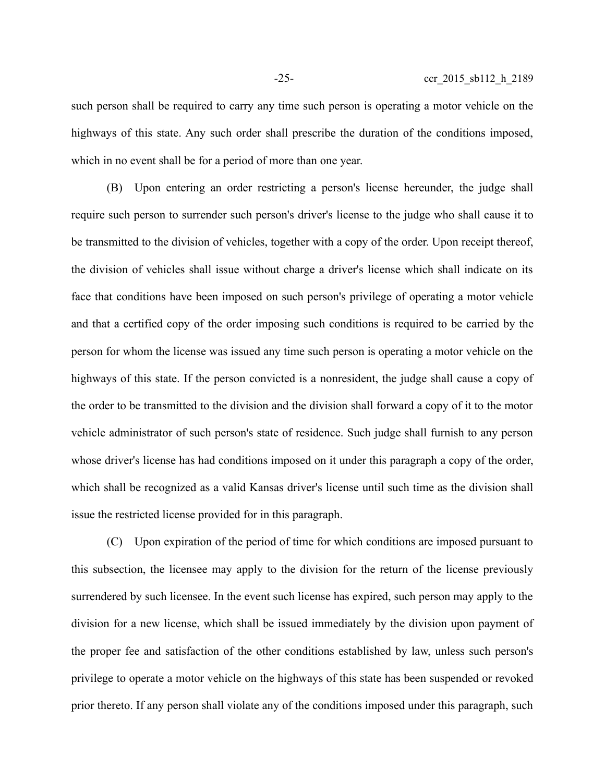such person shall be required to carry any time such person is operating a motor vehicle on the highways of this state. Any such order shall prescribe the duration of the conditions imposed, which in no event shall be for a period of more than one year.

(B) Upon entering an order restricting a person's license hereunder, the judge shall require such person to surrender such person's driver's license to the judge who shall cause it to be transmitted to the division of vehicles, together with a copy of the order. Upon receipt thereof, the division of vehicles shall issue without charge a driver's license which shall indicate on its face that conditions have been imposed on such person's privilege of operating a motor vehicle and that a certified copy of the order imposing such conditions is required to be carried by the person for whom the license was issued any time such person is operating a motor vehicle on the highways of this state. If the person convicted is a nonresident, the judge shall cause a copy of the order to be transmitted to the division and the division shall forward a copy of it to the motor vehicle administrator of such person's state of residence. Such judge shall furnish to any person whose driver's license has had conditions imposed on it under this paragraph a copy of the order, which shall be recognized as a valid Kansas driver's license until such time as the division shall issue the restricted license provided for in this paragraph.

(C) Upon expiration of the period of time for which conditions are imposed pursuant to this subsection, the licensee may apply to the division for the return of the license previously surrendered by such licensee. In the event such license has expired, such person may apply to the division for a new license, which shall be issued immediately by the division upon payment of the proper fee and satisfaction of the other conditions established by law, unless such person's privilege to operate a motor vehicle on the highways of this state has been suspended or revoked prior thereto. If any person shall violate any of the conditions imposed under this paragraph, such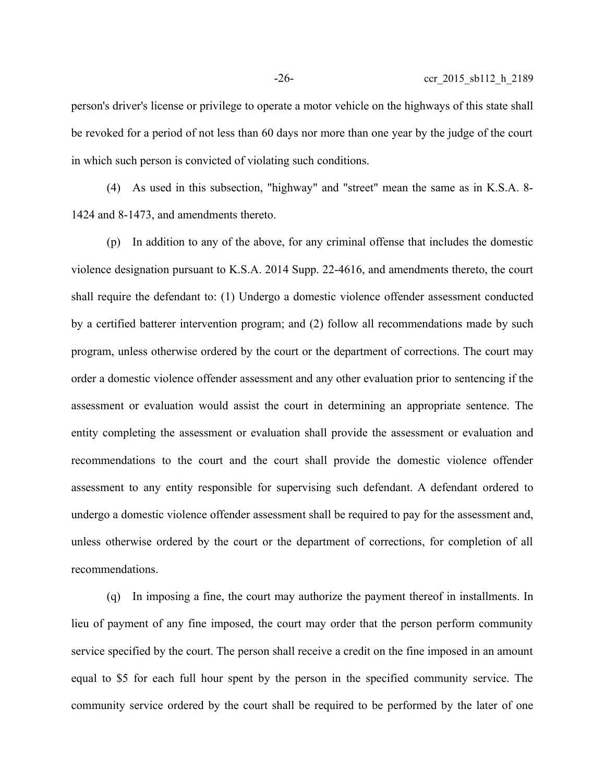person's driver's license or privilege to operate a motor vehicle on the highways of this state shall be revoked for a period of not less than 60 days nor more than one year by the judge of the court in which such person is convicted of violating such conditions.

(4) As used in this subsection, "highway" and "street" mean the same as in K.S.A. 8- 1424 and 8-1473, and amendments thereto.

(p) In addition to any of the above, for any criminal offense that includes the domestic violence designation pursuant to K.S.A. 2014 Supp. 22-4616, and amendments thereto, the court shall require the defendant to: (1) Undergo a domestic violence offender assessment conducted by a certified batterer intervention program; and (2) follow all recommendations made by such program, unless otherwise ordered by the court or the department of corrections. The court may order a domestic violence offender assessment and any other evaluation prior to sentencing if the assessment or evaluation would assist the court in determining an appropriate sentence. The entity completing the assessment or evaluation shall provide the assessment or evaluation and recommendations to the court and the court shall provide the domestic violence offender assessment to any entity responsible for supervising such defendant. A defendant ordered to undergo a domestic violence offender assessment shall be required to pay for the assessment and, unless otherwise ordered by the court or the department of corrections, for completion of all recommendations.

(q) In imposing a fine, the court may authorize the payment thereof in installments. In lieu of payment of any fine imposed, the court may order that the person perform community service specified by the court. The person shall receive a credit on the fine imposed in an amount equal to \$5 for each full hour spent by the person in the specified community service. The community service ordered by the court shall be required to be performed by the later of one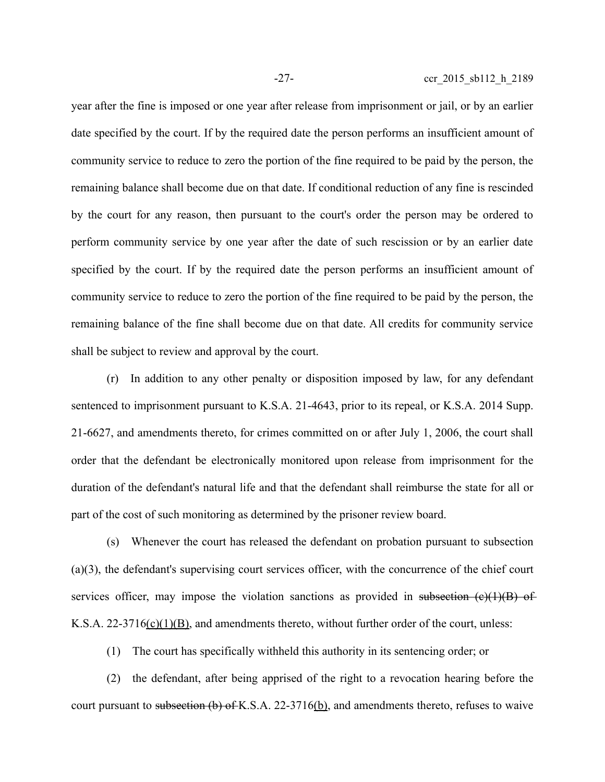year after the fine is imposed or one year after release from imprisonment or jail, or by an earlier date specified by the court. If by the required date the person performs an insufficient amount of community service to reduce to zero the portion of the fine required to be paid by the person, the remaining balance shall become due on that date. If conditional reduction of any fine is rescinded by the court for any reason, then pursuant to the court's order the person may be ordered to perform community service by one year after the date of such rescission or by an earlier date specified by the court. If by the required date the person performs an insufficient amount of community service to reduce to zero the portion of the fine required to be paid by the person, the remaining balance of the fine shall become due on that date. All credits for community service shall be subject to review and approval by the court.

(r) In addition to any other penalty or disposition imposed by law, for any defendant sentenced to imprisonment pursuant to K.S.A. 21-4643, prior to its repeal, or K.S.A. 2014 Supp. 21-6627, and amendments thereto, for crimes committed on or after July 1, 2006, the court shall order that the defendant be electronically monitored upon release from imprisonment for the duration of the defendant's natural life and that the defendant shall reimburse the state for all or part of the cost of such monitoring as determined by the prisoner review board.

(s) Whenever the court has released the defendant on probation pursuant to subsection (a)(3), the defendant's supervising court services officer, with the concurrence of the chief court services officer, may impose the violation sanctions as provided in subsection  $(e)(1)(B)$  of K.S.A.  $22-3716(c)(1)(B)$ , and amendments thereto, without further order of the court, unless:

(1) The court has specifically withheld this authority in its sentencing order; or

(2) the defendant, after being apprised of the right to a revocation hearing before the court pursuant to subsection (b) of K.S.A. 22-3716(b), and amendments thereto, refuses to waive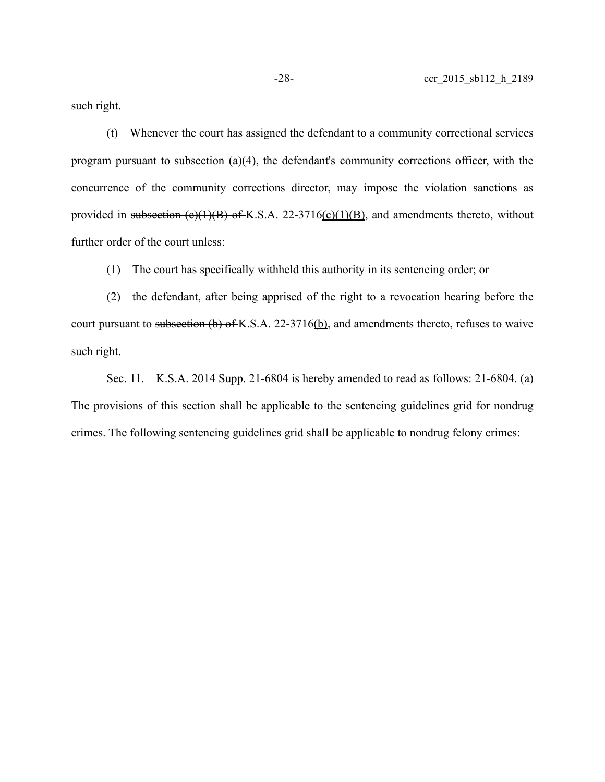such right.

(t) Whenever the court has assigned the defendant to a community correctional services program pursuant to subsection (a)(4), the defendant's community corrections officer, with the concurrence of the community corrections director, may impose the violation sanctions as provided in subsection  $(e)(1)(B)$  of K.S.A. 22-3716(c)(1)(B), and amendments thereto, without further order of the court unless:

(1) The court has specifically withheld this authority in its sentencing order; or

(2) the defendant, after being apprised of the right to a revocation hearing before the court pursuant to subsection (b) of K.S.A. 22-3716(b), and amendments thereto, refuses to waive such right.

Sec. 11. K.S.A. 2014 Supp. 21-6804 is hereby amended to read as follows: 21-6804. (a) The provisions of this section shall be applicable to the sentencing guidelines grid for nondrug crimes. The following sentencing guidelines grid shall be applicable to nondrug felony crimes: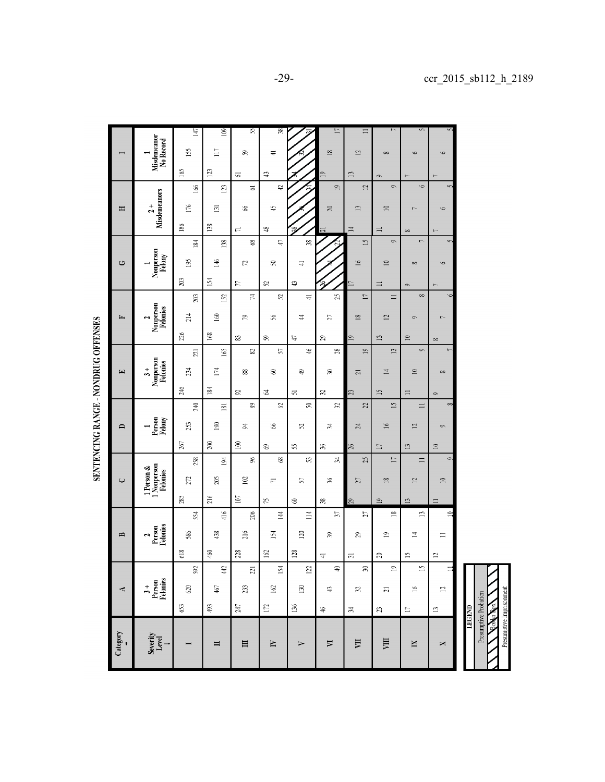|                                                                                                                                                                                                                                                                                                                                                     |                                                | 147             | 109              | 55                       | 38                      |                        | $\Box$                  | $\equiv$                                      | r                        | 5                          |                        |
|-----------------------------------------------------------------------------------------------------------------------------------------------------------------------------------------------------------------------------------------------------------------------------------------------------------------------------------------------------|------------------------------------------------|-----------------|------------------|--------------------------|-------------------------|------------------------|-------------------------|-----------------------------------------------|--------------------------|----------------------------|------------------------|
|                                                                                                                                                                                                                                                                                                                                                     | Misdemeanor<br>No Record                       | 155             | $\Box$           | 5                        | $\equiv$                |                        | $\frac{8}{2}$           | $\mathbf{r}$                                  | $\infty$                 | $\circ$                    | $\circ$                |
|                                                                                                                                                                                                                                                                                                                                                     |                                                | 165             | $\Xi$            | G                        | $\mathfrak{P}$          |                        | $\overline{a}$          | $\mathbf{13}$                                 |                          |                            |                        |
|                                                                                                                                                                                                                                                                                                                                                     |                                                | 166             | 123              | ಠ                        | đ                       |                        | $\overline{19}$         | $\mathbb{Z}$                                  | $\circ$<br>$\circ$       | $\circ$                    | $\overline{C}$         |
| Η                                                                                                                                                                                                                                                                                                                                                   | <b>Misdemeanors</b><br>$\overline{2}$ +        | 176             |                  | 8                        | $\ddot{ }$              |                        | $\approx$               | $\mathbf{L}$                                  | $\supseteq$              |                            | $\circ$                |
|                                                                                                                                                                                                                                                                                                                                                     |                                                |                 | $\Xi$            |                          |                         |                        |                         |                                               |                          |                            |                        |
|                                                                                                                                                                                                                                                                                                                                                     |                                                | $186\,$         | 138              | $\overline{\phantom{m}}$ | $\frac{1}{2}$           | $\frac{38}{3}$         | ಷ                       | $\Xi$                                         | $\equiv$<br>$\circ$      | $\infty$<br>$\overline{a}$ | $\sim$<br>v            |
| ٹ                                                                                                                                                                                                                                                                                                                                                   | Nonperson<br>Felony                            | 184             | 138              | 68                       | Ë,                      |                        |                         | $\overline{15}$                               |                          |                            |                        |
|                                                                                                                                                                                                                                                                                                                                                     |                                                | 195             | 146              | 72                       | S                       | $\rightleftharpoons$   |                         | $\geq$                                        | $\supseteq$              | $^{\circ}$                 | $\circ$                |
|                                                                                                                                                                                                                                                                                                                                                     |                                                | 203             | 154              | E                        | $\mathfrak{L}$          | $\mathfrak{S}$         |                         | $\Box$                                        | $\equiv$                 | $\circ$                    | $\sim$                 |
| E,                                                                                                                                                                                                                                                                                                                                                  | Nonperson<br>Felonies<br>2                     | 203             | 152              | 74                       | 25                      | $\equiv$               | $25 \mid$               | $\overline{17}$                               | $\equiv$                 | $\infty$                   | $\circ$                |
|                                                                                                                                                                                                                                                                                                                                                     |                                                | 214             | 160              | 59                       | $\frac{8}{5}$           | 4                      | 27                      | $^{18}$                                       | 12                       | $\circ$                    | $\sim$                 |
|                                                                                                                                                                                                                                                                                                                                                     |                                                | 226             | $168$            | 83                       | 8                       | Ë,                     | 59                      | $\overline{a}$                                | $\mathbf{13}$            | $\approx$                  | $\infty$               |
| $\begin{picture}(20,20) \put(0,0){\line(1,0){10}} \put(15,0){\line(1,0){10}} \put(15,0){\line(1,0){10}} \put(15,0){\line(1,0){10}} \put(15,0){\line(1,0){10}} \put(15,0){\line(1,0){10}} \put(15,0){\line(1,0){10}} \put(15,0){\line(1,0){10}} \put(15,0){\line(1,0){10}} \put(15,0){\line(1,0){10}} \put(15,0){\line(1,0){10}} \put(15,0){\line(1$ | Nonperson<br>Felonies<br>$\ddot{3}$            | $\overline{21}$ | 165              | 23                       | 57                      | $\frac{4}{5}$          | 28                      | $\overline{19}$                               | $\overline{13}$          | $\circ$                    |                        |
|                                                                                                                                                                                                                                                                                                                                                     |                                                | 234             | 174              | 88                       | 3                       | ₽                      | నె                      | $\overline{c}$                                | $\overline{1}$           | $\approx$                  | $\infty$               |
|                                                                                                                                                                                                                                                                                                                                                     |                                                | 246             | 184              | 85                       | 2                       |                        | z                       | 23                                            | $\overline{15}$          |                            |                        |
|                                                                                                                                                                                                                                                                                                                                                     |                                                | 240             | $\overline{181}$ | 89                       | $\mathcal{O}$           | 5<br>$\boldsymbol{50}$ | 35                      | 22                                            | $\overline{15}$          | $\equiv$<br>$\Box$         | $\circ$<br>$\infty$    |
| $\mathbf{D}$                                                                                                                                                                                                                                                                                                                                        | Person<br>Felony                               | 253             | $\geq$           | R                        | 66                      | S                      | $\mathfrak{z}$          |                                               | $\geq$                   | $\mathbf{r}$               | $\circ$                |
|                                                                                                                                                                                                                                                                                                                                                     |                                                |                 |                  |                          |                         |                        |                         | 24                                            |                          |                            |                        |
|                                                                                                                                                                                                                                                                                                                                                     |                                                | 267             | 200              | $\geq$                   | $\circledcirc$          | $\mathfrak{L}$<br>S    | $\%$                    | 26                                            | $\Box$                   | $\mathbf{r}$               | $\supseteq$<br>$\circ$ |
|                                                                                                                                                                                                                                                                                                                                                     |                                                | 258             | 194              | S                        | $\$$                    |                        | 54                      | 25                                            | $\Box$                   | $\equiv$                   |                        |
| $\cup$                                                                                                                                                                                                                                                                                                                                              | 1 Person &<br>  Nonperson<br>Felonies          | 272             | 205              | $\geq$                   | $\Xi$                   | 57                     | 36                      | 27                                            | $\overline{18}$          | $\overline{12}$            | $\supseteq$            |
|                                                                                                                                                                                                                                                                                                                                                     |                                                | 285             | 216              | 107                      | 55                      | S                      | æ                       | $\mathbb{S}^2$                                | $\circ$                  | $\tilde{\mathbf{c}}$       |                        |
| B                                                                                                                                                                                                                                                                                                                                                   | Felonies<br>Person<br>$\overline{\phantom{0}}$ | 554             | 416              | 206                      | 144                     | $\equiv$               | E,                      | 27                                            | $\overline{8}$           | $\mathbf{r}$               | $\triangleq$           |
|                                                                                                                                                                                                                                                                                                                                                     |                                                | 586             | 438              | 216                      | 154                     | 120                    | $\mathfrak{B}$          | 59                                            | $\supseteq$              | ⋣                          | $\equiv$               |
|                                                                                                                                                                                                                                                                                                                                                     |                                                | 618             | 460              | $228$                    | 162                     | 128                    | $\rightleftarrows$      | $\Xi$                                         | g                        | $\overline{15}$            | $\Xi$                  |
| 4                                                                                                                                                                                                                                                                                                                                                   | $3 +$<br>Person<br>Felonies                    | 592             | $442$            | $\overline{21}$          | 154                     | 122                    | $\Rightarrow$           | $\approx$                                     | $\overline{\phantom{a}}$ | $\overline{15}$            |                        |
|                                                                                                                                                                                                                                                                                                                                                     |                                                | 620             | $467$            | 23                       | $162\,$                 | $130\,$                | $\ddot{a}$              | $\mathfrak{L}% _{0}^{\alpha}(\mathbb{R}^{2})$ | $\Xi$                    | $\geq$                     | $\mathbb{Z}$           |
|                                                                                                                                                                                                                                                                                                                                                     |                                                | 653             | $493\,$          | $247\,$                  | $\overline{\mathbb{M}}$ | 136                    | $\frac{1}{2}$           | $\mathfrak{H}$                                | 33                       | $\Box$                     | $\Xi$                  |
|                                                                                                                                                                                                                                                                                                                                                     |                                                |                 |                  |                          |                         |                        |                         |                                               |                          |                            |                        |
| Category                                                                                                                                                                                                                                                                                                                                            | Severity<br>Level                              |                 | ᄇ                | $\equiv$                 | $\geq$                  | ⋗                      | $\overline{\mathbf{v}}$ | 買                                             | 貝                        | $\mathbb{N}$               | ×                      |
|                                                                                                                                                                                                                                                                                                                                                     |                                                |                 |                  |                          |                         |                        |                         |                                               |                          |                            |                        |
|                                                                                                                                                                                                                                                                                                                                                     |                                                |                 |                  |                          |                         |                        |                         |                                               |                          |                            |                        |

SENTENCING RANGE - NONDRUG OFFENSES

LEGEND phye Pro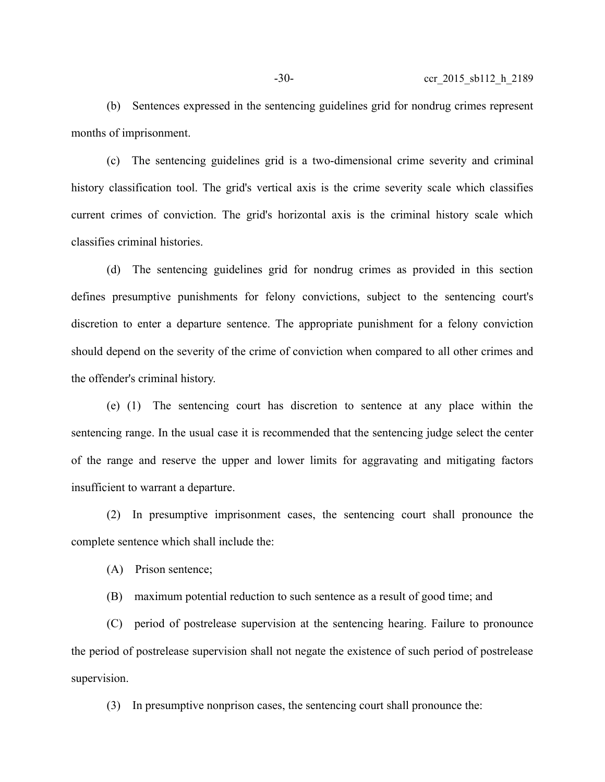(b) Sentences expressed in the sentencing guidelines grid for nondrug crimes represent months of imprisonment.

(c) The sentencing guidelines grid is a two-dimensional crime severity and criminal history classification tool. The grid's vertical axis is the crime severity scale which classifies current crimes of conviction. The grid's horizontal axis is the criminal history scale which classifies criminal histories.

(d) The sentencing guidelines grid for nondrug crimes as provided in this section defines presumptive punishments for felony convictions, subject to the sentencing court's discretion to enter a departure sentence. The appropriate punishment for a felony conviction should depend on the severity of the crime of conviction when compared to all other crimes and the offender's criminal history.

(e) (1) The sentencing court has discretion to sentence at any place within the sentencing range. In the usual case it is recommended that the sentencing judge select the center of the range and reserve the upper and lower limits for aggravating and mitigating factors insufficient to warrant a departure.

(2) In presumptive imprisonment cases, the sentencing court shall pronounce the complete sentence which shall include the:

(A) Prison sentence;

(B) maximum potential reduction to such sentence as a result of good time; and

(C) period of postrelease supervision at the sentencing hearing. Failure to pronounce the period of postrelease supervision shall not negate the existence of such period of postrelease supervision.

(3) In presumptive nonprison cases, the sentencing court shall pronounce the: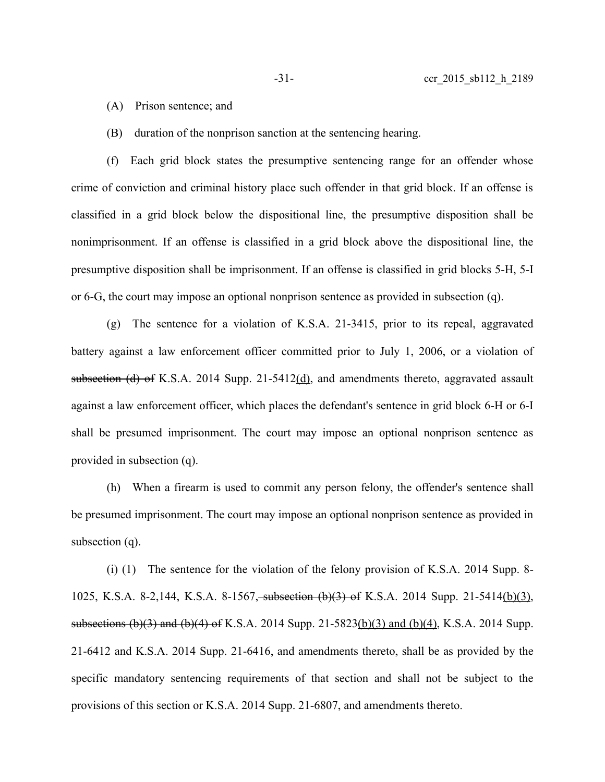(A) Prison sentence; and

(B) duration of the nonprison sanction at the sentencing hearing.

(f) Each grid block states the presumptive sentencing range for an offender whose crime of conviction and criminal history place such offender in that grid block. If an offense is classified in a grid block below the dispositional line, the presumptive disposition shall be nonimprisonment. If an offense is classified in a grid block above the dispositional line, the presumptive disposition shall be imprisonment. If an offense is classified in grid blocks 5-H, 5-I or 6-G, the court may impose an optional nonprison sentence as provided in subsection (q).

(g) The sentence for a violation of K.S.A. 21-3415, prior to its repeal, aggravated battery against a law enforcement officer committed prior to July 1, 2006, or a violation of subsection (d) of K.S.A. 2014 Supp.  $21-5412$ (d), and amendments thereto, aggravated assault against a law enforcement officer, which places the defendant's sentence in grid block 6-H or 6-I shall be presumed imprisonment. The court may impose an optional nonprison sentence as provided in subsection (q).

(h) When a firearm is used to commit any person felony, the offender's sentence shall be presumed imprisonment. The court may impose an optional nonprison sentence as provided in subsection (q).

(i) (1) The sentence for the violation of the felony provision of K.S.A. 2014 Supp. 8- 1025, K.S.A. 8-2,144, K.S.A. 8-1567, subsection (b)(3) of K.S.A. 2014 Supp. 21-5414(b)(3), subsections (b)(3) and (b)(4) of K.S.A. 2014 Supp. 21-5823(b)(3) and (b)(4), K.S.A. 2014 Supp. 21-6412 and K.S.A. 2014 Supp. 21-6416, and amendments thereto, shall be as provided by the specific mandatory sentencing requirements of that section and shall not be subject to the provisions of this section or K.S.A. 2014 Supp. 21-6807, and amendments thereto.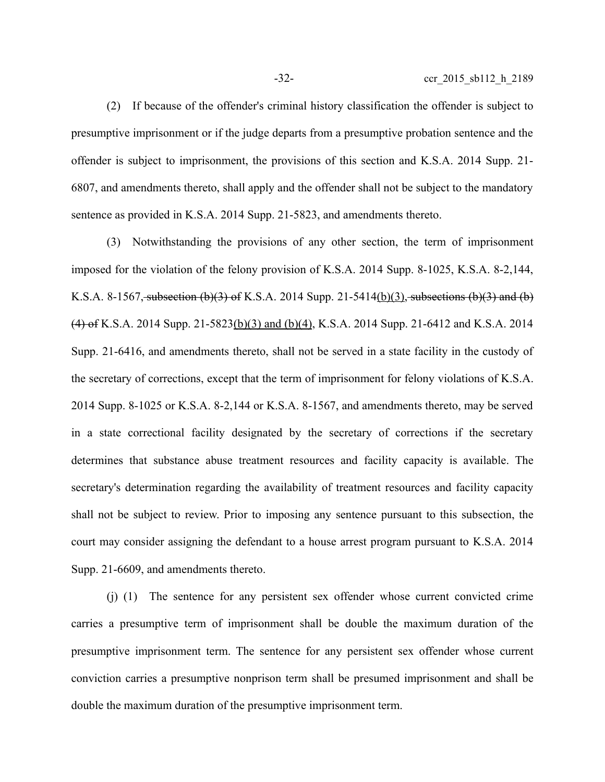(2) If because of the offender's criminal history classification the offender is subject to presumptive imprisonment or if the judge departs from a presumptive probation sentence and the offender is subject to imprisonment, the provisions of this section and K.S.A. 2014 Supp. 21- 6807, and amendments thereto, shall apply and the offender shall not be subject to the mandatory sentence as provided in K.S.A. 2014 Supp. 21-5823, and amendments thereto.

(3) Notwithstanding the provisions of any other section, the term of imprisonment imposed for the violation of the felony provision of K.S.A. 2014 Supp. 8-1025, K.S.A. 8-2,144, K.S.A. 8-1567, subsection  $(b)(3)$  of K.S.A. 2014 Supp. 21-5414(b)(3), subsections  $(b)(3)$  and (b) (4) of K.S.A. 2014 Supp. 21-5823(b)(3) and (b)(4), K.S.A. 2014 Supp. 21-6412 and K.S.A. 2014 Supp. 21-6416, and amendments thereto, shall not be served in a state facility in the custody of the secretary of corrections, except that the term of imprisonment for felony violations of K.S.A. 2014 Supp. 8-1025 or K.S.A. 8-2,144 or K.S.A. 8-1567, and amendments thereto, may be served in a state correctional facility designated by the secretary of corrections if the secretary determines that substance abuse treatment resources and facility capacity is available. The secretary's determination regarding the availability of treatment resources and facility capacity shall not be subject to review. Prior to imposing any sentence pursuant to this subsection, the court may consider assigning the defendant to a house arrest program pursuant to K.S.A. 2014 Supp. 21-6609, and amendments thereto.

(j) (1) The sentence for any persistent sex offender whose current convicted crime carries a presumptive term of imprisonment shall be double the maximum duration of the presumptive imprisonment term. The sentence for any persistent sex offender whose current conviction carries a presumptive nonprison term shall be presumed imprisonment and shall be double the maximum duration of the presumptive imprisonment term.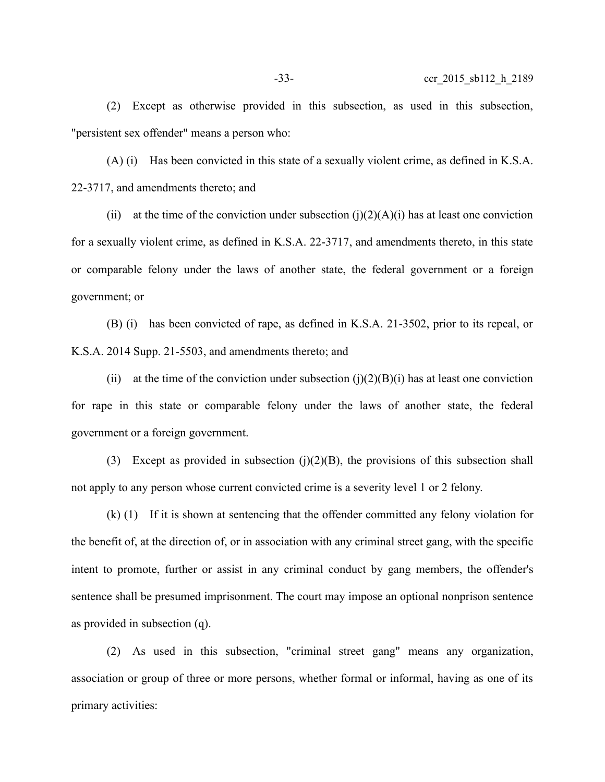(2) Except as otherwise provided in this subsection, as used in this subsection, "persistent sex offender" means a person who:

(A) (i) Has been convicted in this state of a sexually violent crime, as defined in K.S.A. 22-3717, and amendments thereto; and

(ii) at the time of the conviction under subsection  $(i)(2)(A)(i)$  has at least one conviction for a sexually violent crime, as defined in K.S.A. 22-3717, and amendments thereto, in this state or comparable felony under the laws of another state, the federal government or a foreign government; or

(B) (i) has been convicted of rape, as defined in K.S.A. 21-3502, prior to its repeal, or K.S.A. 2014 Supp. 21-5503, and amendments thereto; and

(ii) at the time of the conviction under subsection (j)(2)(B)(i) has at least one conviction for rape in this state or comparable felony under the laws of another state, the federal government or a foreign government.

(3) Except as provided in subsection  $(i)(2)(B)$ , the provisions of this subsection shall not apply to any person whose current convicted crime is a severity level 1 or 2 felony.

(k) (1) If it is shown at sentencing that the offender committed any felony violation for the benefit of, at the direction of, or in association with any criminal street gang, with the specific intent to promote, further or assist in any criminal conduct by gang members, the offender's sentence shall be presumed imprisonment. The court may impose an optional nonprison sentence as provided in subsection (q).

(2) As used in this subsection, "criminal street gang" means any organization, association or group of three or more persons, whether formal or informal, having as one of its primary activities: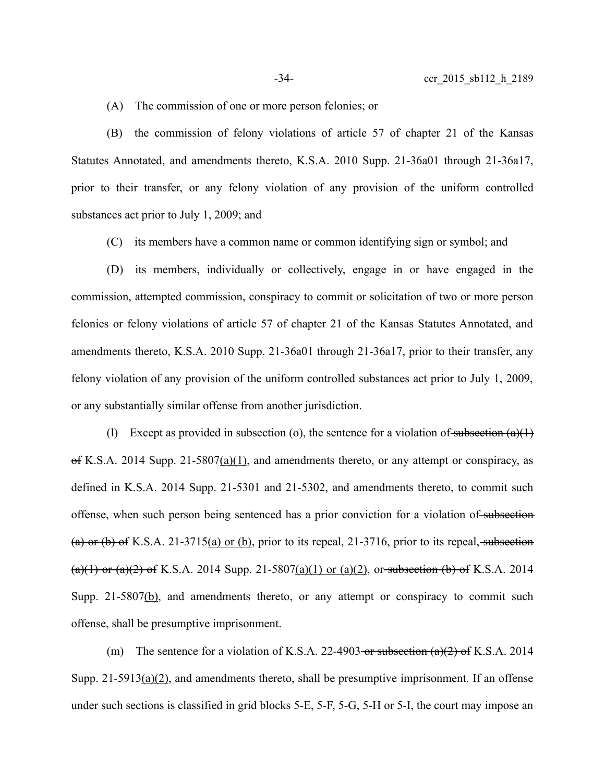(A) The commission of one or more person felonies; or

(B) the commission of felony violations of article 57 of chapter 21 of the Kansas Statutes Annotated, and amendments thereto, K.S.A. 2010 Supp. 21-36a01 through 21-36a17, prior to their transfer, or any felony violation of any provision of the uniform controlled substances act prior to July 1, 2009; and

(C) its members have a common name or common identifying sign or symbol; and

(D) its members, individually or collectively, engage in or have engaged in the commission, attempted commission, conspiracy to commit or solicitation of two or more person felonies or felony violations of article 57 of chapter 21 of the Kansas Statutes Annotated, and amendments thereto, K.S.A. 2010 Supp. 21-36a01 through 21-36a17, prior to their transfer, any felony violation of any provision of the uniform controlled substances act prior to July 1, 2009, or any substantially similar offense from another jurisdiction.

(1) Except as provided in subsection (o), the sentence for a violation of subsection  $(a)(1)$  $\Theta$ f K.S.A. 2014 Supp. 21-5807(a)(1), and amendments thereto, or any attempt or conspiracy, as defined in K.S.A. 2014 Supp. 21-5301 and 21-5302, and amendments thereto, to commit such offense, when such person being sentenced has a prior conviction for a violation of subsection (a) or (b) of K.S.A. 21-3715(a) or (b), prior to its repeal, 21-3716, prior to its repeal, subsection  $(a)(1)$  or  $(a)(2)$  of K.S.A. 2014 Supp. 21-5807(a)(1) or (a)(2), or subsection (b) of K.S.A. 2014 Supp. 21-5807(b), and amendments thereto, or any attempt or conspiracy to commit such offense, shall be presumptive imprisonment.

(m) The sentence for a violation of K.S.A. 22-4903 or subsection  $(a)(2)$  of K.S.A. 2014 Supp. 21-5913( $a$ )(2), and amendments thereto, shall be presumptive imprisonment. If an offense under such sections is classified in grid blocks 5-E, 5-F, 5-G, 5-H or 5-I, the court may impose an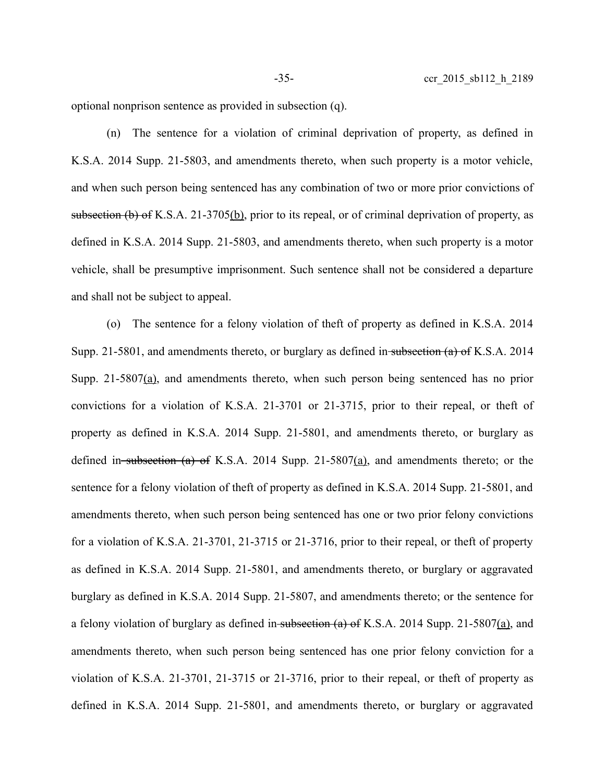optional nonprison sentence as provided in subsection (q).

(n) The sentence for a violation of criminal deprivation of property, as defined in K.S.A. 2014 Supp. 21-5803, and amendments thereto, when such property is a motor vehicle, and when such person being sentenced has any combination of two or more prior convictions of subsection (b) of K.S.A. 21-3705(b), prior to its repeal, or of criminal deprivation of property, as defined in K.S.A. 2014 Supp. 21-5803, and amendments thereto, when such property is a motor vehicle, shall be presumptive imprisonment. Such sentence shall not be considered a departure and shall not be subject to appeal.

(o) The sentence for a felony violation of theft of property as defined in K.S.A. 2014 Supp. 21-5801, and amendments thereto, or burglary as defined in subsection (a) of K.S.A. 2014 Supp. 21-5807(a), and amendments thereto, when such person being sentenced has no prior convictions for a violation of K.S.A. 21-3701 or 21-3715, prior to their repeal, or theft of property as defined in K.S.A. 2014 Supp. 21-5801, and amendments thereto, or burglary as defined in subsection (a) of K.S.A. 2014 Supp. 21-5807(a), and amendments thereto; or the sentence for a felony violation of theft of property as defined in K.S.A. 2014 Supp. 21-5801, and amendments thereto, when such person being sentenced has one or two prior felony convictions for a violation of K.S.A. 21-3701, 21-3715 or 21-3716, prior to their repeal, or theft of property as defined in K.S.A. 2014 Supp. 21-5801, and amendments thereto, or burglary or aggravated burglary as defined in K.S.A. 2014 Supp. 21-5807, and amendments thereto; or the sentence for a felony violation of burglary as defined in subsection (a) of K.S.A. 2014 Supp. 21-5807(a), and amendments thereto, when such person being sentenced has one prior felony conviction for a violation of K.S.A. 21-3701, 21-3715 or 21-3716, prior to their repeal, or theft of property as defined in K.S.A. 2014 Supp. 21-5801, and amendments thereto, or burglary or aggravated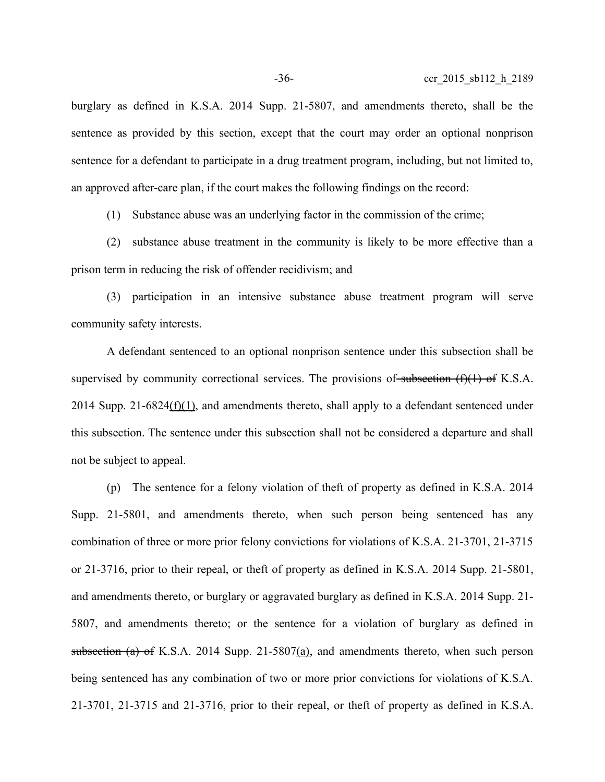burglary as defined in K.S.A. 2014 Supp. 21-5807, and amendments thereto, shall be the sentence as provided by this section, except that the court may order an optional nonprison sentence for a defendant to participate in a drug treatment program, including, but not limited to, an approved after-care plan, if the court makes the following findings on the record:

(1) Substance abuse was an underlying factor in the commission of the crime;

(2) substance abuse treatment in the community is likely to be more effective than a prison term in reducing the risk of offender recidivism; and

(3) participation in an intensive substance abuse treatment program will serve community safety interests.

A defendant sentenced to an optional nonprison sentence under this subsection shall be supervised by community correctional services. The provisions of subsection  $(f)(1)$  of K.S.A. 2014 Supp. 21-6824(f)(1), and amendments thereto, shall apply to a defendant sentenced under this subsection. The sentence under this subsection shall not be considered a departure and shall not be subject to appeal.

(p) The sentence for a felony violation of theft of property as defined in K.S.A. 2014 Supp. 21-5801, and amendments thereto, when such person being sentenced has any combination of three or more prior felony convictions for violations of K.S.A. 21-3701, 21-3715 or 21-3716, prior to their repeal, or theft of property as defined in K.S.A. 2014 Supp. 21-5801, and amendments thereto, or burglary or aggravated burglary as defined in K.S.A. 2014 Supp. 21- 5807, and amendments thereto; or the sentence for a violation of burglary as defined in subsection (a) of K.S.A. 2014 Supp. 21-5807(a), and amendments thereto, when such person being sentenced has any combination of two or more prior convictions for violations of K.S.A. 21-3701, 21-3715 and 21-3716, prior to their repeal, or theft of property as defined in K.S.A.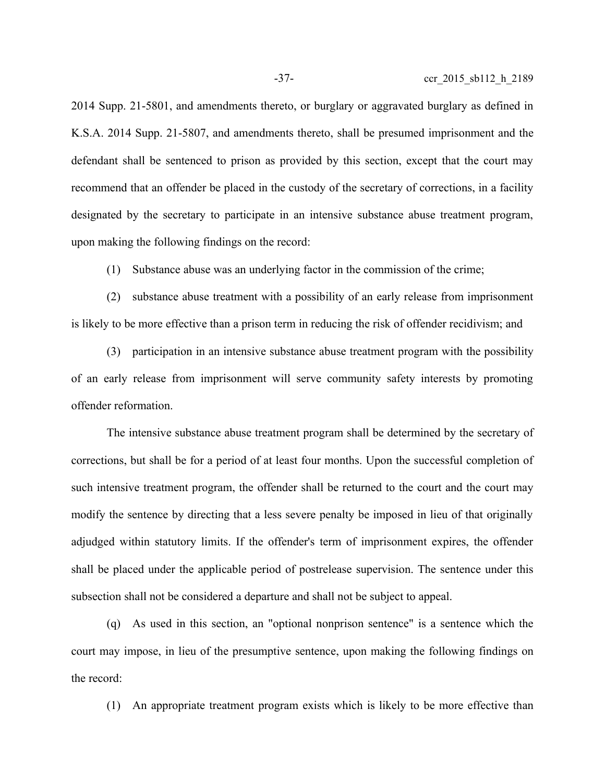2014 Supp. 21-5801, and amendments thereto, or burglary or aggravated burglary as defined in K.S.A. 2014 Supp. 21-5807, and amendments thereto, shall be presumed imprisonment and the defendant shall be sentenced to prison as provided by this section, except that the court may recommend that an offender be placed in the custody of the secretary of corrections, in a facility designated by the secretary to participate in an intensive substance abuse treatment program, upon making the following findings on the record:

(1) Substance abuse was an underlying factor in the commission of the crime;

(2) substance abuse treatment with a possibility of an early release from imprisonment is likely to be more effective than a prison term in reducing the risk of offender recidivism; and

(3) participation in an intensive substance abuse treatment program with the possibility of an early release from imprisonment will serve community safety interests by promoting offender reformation.

The intensive substance abuse treatment program shall be determined by the secretary of corrections, but shall be for a period of at least four months. Upon the successful completion of such intensive treatment program, the offender shall be returned to the court and the court may modify the sentence by directing that a less severe penalty be imposed in lieu of that originally adjudged within statutory limits. If the offender's term of imprisonment expires, the offender shall be placed under the applicable period of postrelease supervision. The sentence under this subsection shall not be considered a departure and shall not be subject to appeal.

(q) As used in this section, an "optional nonprison sentence" is a sentence which the court may impose, in lieu of the presumptive sentence, upon making the following findings on the record:

(1) An appropriate treatment program exists which is likely to be more effective than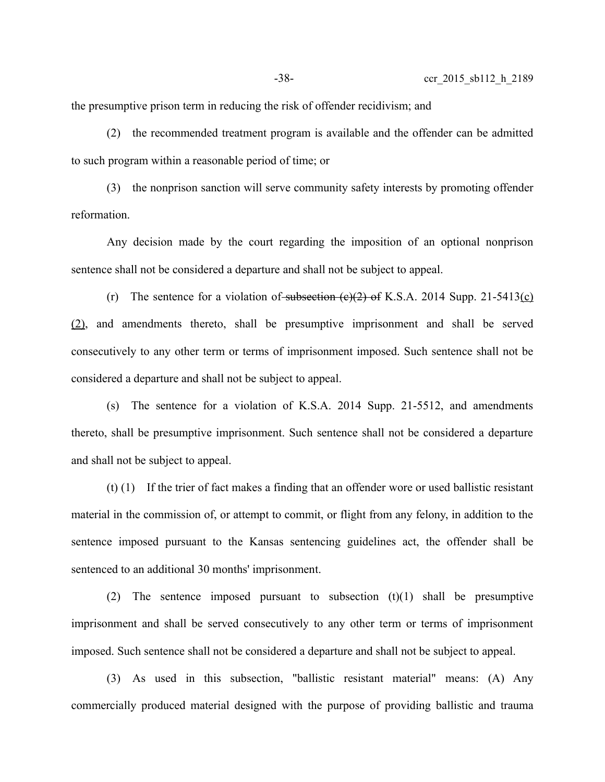the presumptive prison term in reducing the risk of offender recidivism; and

(2) the recommended treatment program is available and the offender can be admitted to such program within a reasonable period of time; or

(3) the nonprison sanction will serve community safety interests by promoting offender reformation.

Any decision made by the court regarding the imposition of an optional nonprison sentence shall not be considered a departure and shall not be subject to appeal.

(r) The sentence for a violation of subsection  $(e)(2)$  of K.S.A. 2014 Supp. 21-5413(c) (2), and amendments thereto, shall be presumptive imprisonment and shall be served consecutively to any other term or terms of imprisonment imposed. Such sentence shall not be considered a departure and shall not be subject to appeal.

(s) The sentence for a violation of K.S.A. 2014 Supp. 21-5512, and amendments thereto, shall be presumptive imprisonment. Such sentence shall not be considered a departure and shall not be subject to appeal.

(t) (1) If the trier of fact makes a finding that an offender wore or used ballistic resistant material in the commission of, or attempt to commit, or flight from any felony, in addition to the sentence imposed pursuant to the Kansas sentencing guidelines act, the offender shall be sentenced to an additional 30 months' imprisonment.

(2) The sentence imposed pursuant to subsection (t)(1) shall be presumptive imprisonment and shall be served consecutively to any other term or terms of imprisonment imposed. Such sentence shall not be considered a departure and shall not be subject to appeal.

(3) As used in this subsection, "ballistic resistant material" means: (A) Any commercially produced material designed with the purpose of providing ballistic and trauma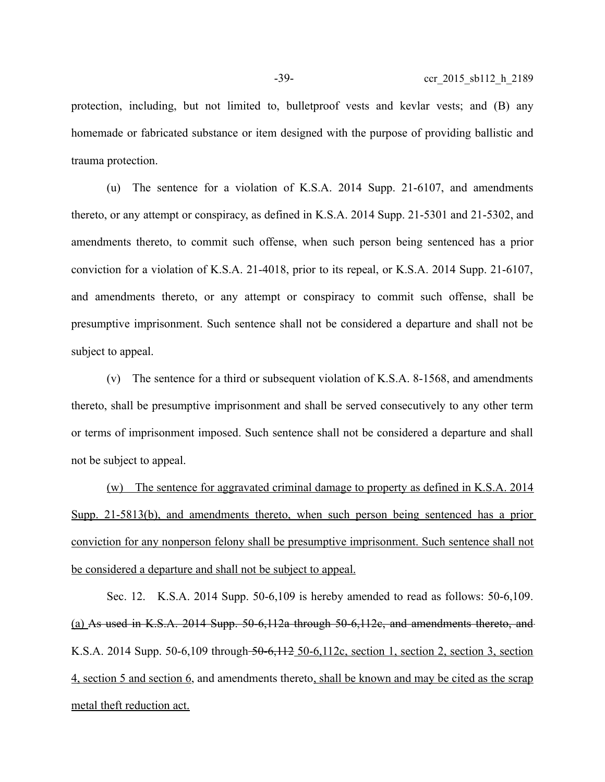protection, including, but not limited to, bulletproof vests and kevlar vests; and (B) any homemade or fabricated substance or item designed with the purpose of providing ballistic and trauma protection.

(u) The sentence for a violation of K.S.A. 2014 Supp. 21-6107, and amendments thereto, or any attempt or conspiracy, as defined in K.S.A. 2014 Supp. 21-5301 and 21-5302, and amendments thereto, to commit such offense, when such person being sentenced has a prior conviction for a violation of K.S.A. 21-4018, prior to its repeal, or K.S.A. 2014 Supp. 21-6107, and amendments thereto, or any attempt or conspiracy to commit such offense, shall be presumptive imprisonment. Such sentence shall not be considered a departure and shall not be subject to appeal.

(v) The sentence for a third or subsequent violation of K.S.A. 8-1568, and amendments thereto, shall be presumptive imprisonment and shall be served consecutively to any other term or terms of imprisonment imposed. Such sentence shall not be considered a departure and shall not be subject to appeal.

(w) The sentence for aggravated criminal damage to property as defined in K.S.A. 2014 Supp. 21-5813(b), and amendments thereto, when such person being sentenced has a prior conviction for any nonperson felony shall be presumptive imprisonment. Such sentence shall not be considered a departure and shall not be subject to appeal.

Sec. 12. K.S.A. 2014 Supp. 50-6,109 is hereby amended to read as follows: 50-6,109. (a) As used in K.S.A. 2014 Supp. 50-6,112a through 50-6,112c, and amendments thereto, and K.S.A. 2014 Supp. 50-6,109 through 50-6,112 50-6,112c, section 1, section 2, section 3, section 4, section 5 and section 6, and amendments thereto, shall be known and may be cited as the scrap metal theft reduction act.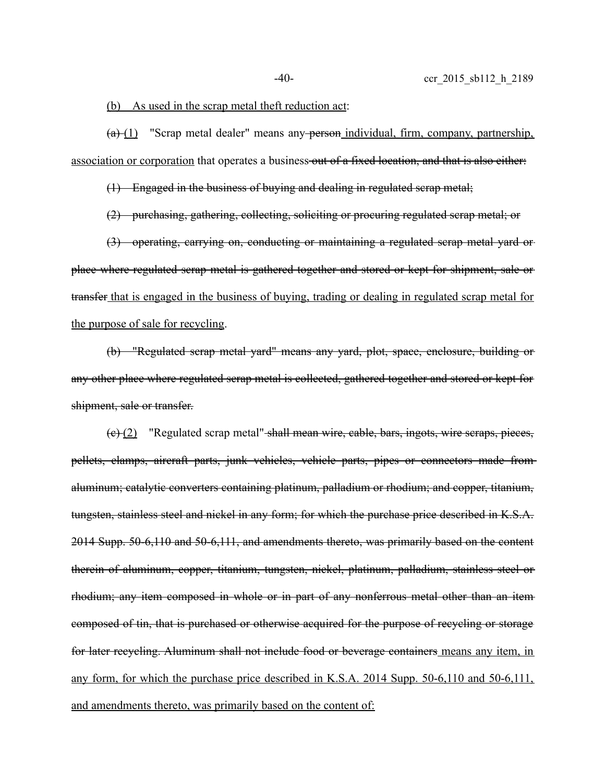#### (b) As used in the scrap metal theft reduction act:

 $(a)$  (1) "Scrap metal dealer" means any person individual, firm, company, partnership, association or corporation that operates a business out of a fixed location, and that is also either:

(1) Engaged in the business of buying and dealing in regulated scrap metal;

(2) purchasing, gathering, collecting, soliciting or procuring regulated scrap metal; or

(3) operating, carrying on, conducting or maintaining a regulated scrap metal yard or place where regulated scrap metal is gathered together and stored or kept for shipment, sale or transfer that is engaged in the business of buying, trading or dealing in regulated scrap metal for the purpose of sale for recycling.

(b) "Regulated scrap metal yard" means any yard, plot, space, enclosure, building or any other place where regulated scrap metal is collected, gathered together and stored or kept for shipment, sale or transfer.

(c) (2) "Regulated scrap metal" shall mean wire, cable, bars, ingots, wire scraps, pieces, pellets, clamps, aircraft parts, junk vehicles, vehicle parts, pipes or connectors made from aluminum; catalytic converters containing platinum, palladium or rhodium; and copper, titanium, tungsten, stainless steel and nickel in any form; for which the purchase price described in K.S.A. 2014 Supp. 50-6,110 and 50-6,111, and amendments thereto, was primarily based on the content therein of aluminum, copper, titanium, tungsten, nickel, platinum, palladium, stainless steel or rhodium; any item composed in whole or in part of any nonferrous metal other than an item composed of tin, that is purchased or otherwise acquired for the purpose of recycling or storage for later recycling. Aluminum shall not include food or beverage containers means any item, in any form, for which the purchase price described in K.S.A. 2014 Supp. 50-6,110 and 50-6,111, and amendments thereto, was primarily based on the content of: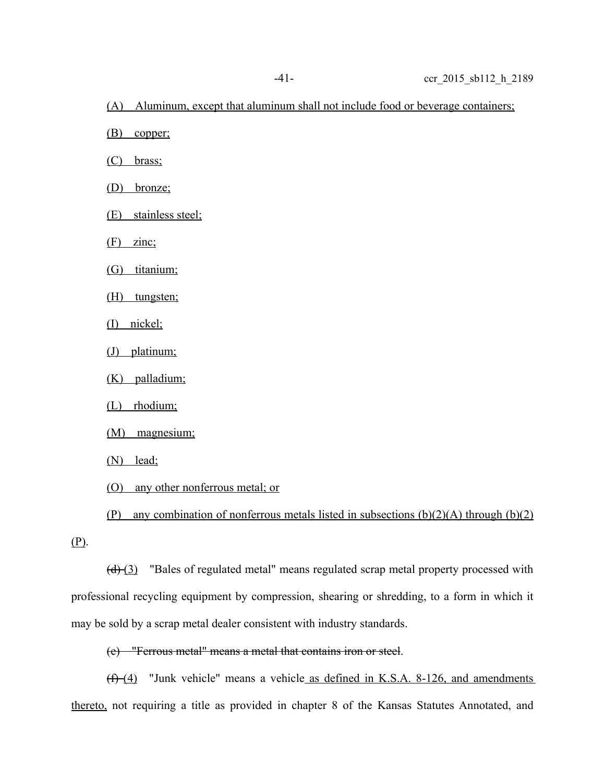(A) Aluminum, except that aluminum shall not include food or beverage containers;

(B) copper;

(C) brass;

(D) bronze;

(E) stainless steel;

(F) zinc;

(G) titanium;

(H) tungsten;

(I) nickel;

(J) platinum;

(K) palladium;

(L) rhodium;

(M) magnesium;

(N) lead;

(O) any other nonferrous metal; or

(P) any combination of nonferrous metals listed in subsections  $(b)(2)(A)$  through  $(b)(2)$ 

(P).

 $(d)$  (3) "Bales of regulated metal" means regulated scrap metal property processed with professional recycling equipment by compression, shearing or shredding, to a form in which it may be sold by a scrap metal dealer consistent with industry standards.

(e) "Ferrous metal" means a metal that contains iron or steel.

 $(f)$  (4) "Junk vehicle" means a vehicle as defined in K.S.A. 8-126, and amendments thereto, not requiring a title as provided in chapter 8 of the Kansas Statutes Annotated, and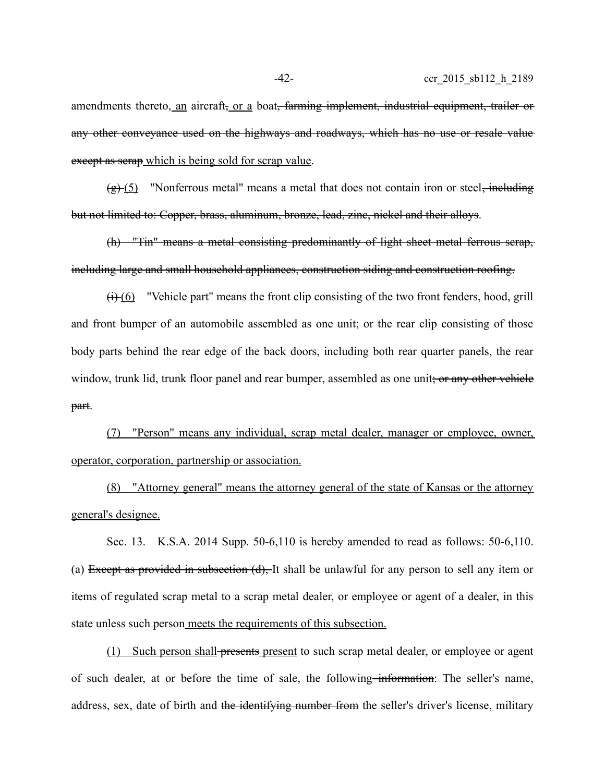amendments thereto, an aircraft, or a boat, farming implement, industrial equipment, trailer or any other conveyance used on the highways and roadways, which has no use or resale value except as serap which is being sold for scrap value.

 $\left(\frac{g}{f}\right)$  "Nonferrous metal" means a metal that does not contain iron or steel, including but not limited to: Copper, brass, aluminum, bronze, lead, zinc, nickel and their alloys.

(h) "Tin" means a metal consisting predominantly of light sheet metal ferrous scrap, including large and small household appliances, construction siding and construction roofing.

 $\leftrightarrow$  (6) "Vehicle part" means the front clip consisting of the two front fenders, hood, grill and front bumper of an automobile assembled as one unit; or the rear clip consisting of those body parts behind the rear edge of the back doors, including both rear quarter panels, the rear window, trunk lid, trunk floor panel and rear bumper, assembled as one unit; or any other vehicle part.

(7) "Person" means any individual, scrap metal dealer, manager or employee, owner, operator, corporation, partnership or association.

(8) "Attorney general" means the attorney general of the state of Kansas or the attorney general's designee.

Sec. 13. K.S.A. 2014 Supp. 50-6,110 is hereby amended to read as follows: 50-6,110. (a) Except as provided in subsection (d), It shall be unlawful for any person to sell any item or items of regulated scrap metal to a scrap metal dealer, or employee or agent of a dealer, in this state unless such person meets the requirements of this subsection.

(1) Such person shall presents present to such scrap metal dealer, or employee or agent of such dealer, at or before the time of sale, the following–information: The seller's name, address, sex, date of birth and the identifying number from the seller's driver's license, military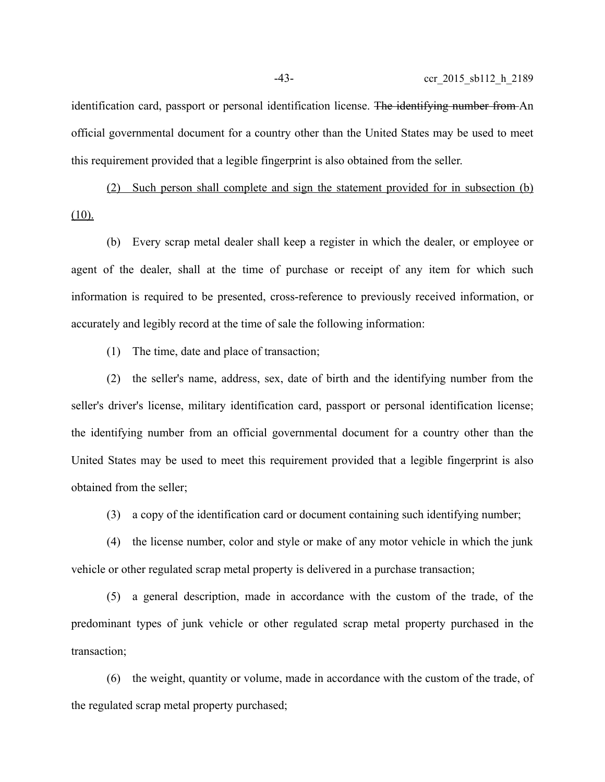identification card, passport or personal identification license. The identifying number from An official governmental document for a country other than the United States may be used to meet this requirement provided that a legible fingerprint is also obtained from the seller.

(2) Such person shall complete and sign the statement provided for in subsection (b)  $(10)$ .

(b) Every scrap metal dealer shall keep a register in which the dealer, or employee or agent of the dealer, shall at the time of purchase or receipt of any item for which such information is required to be presented, cross-reference to previously received information, or accurately and legibly record at the time of sale the following information:

(1) The time, date and place of transaction;

(2) the seller's name, address, sex, date of birth and the identifying number from the seller's driver's license, military identification card, passport or personal identification license; the identifying number from an official governmental document for a country other than the United States may be used to meet this requirement provided that a legible fingerprint is also obtained from the seller;

(3) a copy of the identification card or document containing such identifying number;

(4) the license number, color and style or make of any motor vehicle in which the junk vehicle or other regulated scrap metal property is delivered in a purchase transaction;

(5) a general description, made in accordance with the custom of the trade, of the predominant types of junk vehicle or other regulated scrap metal property purchased in the transaction;

(6) the weight, quantity or volume, made in accordance with the custom of the trade, of the regulated scrap metal property purchased;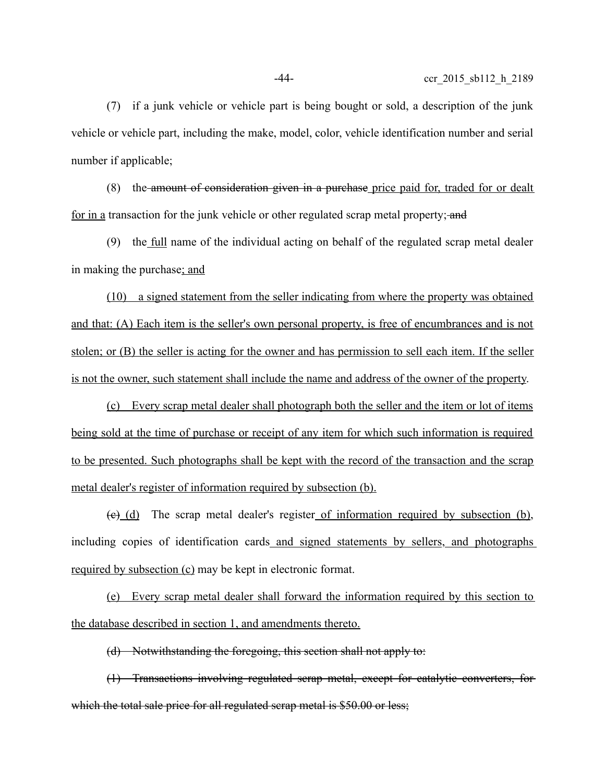(7) if a junk vehicle or vehicle part is being bought or sold, a description of the junk vehicle or vehicle part, including the make, model, color, vehicle identification number and serial number if applicable;

(8) the amount of consideration given in a purchase price paid for, traded for or dealt for in a transaction for the junk vehicle or other regulated scrap metal property; and

(9) the full name of the individual acting on behalf of the regulated scrap metal dealer in making the purchase; and

(10) a signed statement from the seller indicating from where the property was obtained and that: (A) Each item is the seller's own personal property, is free of encumbrances and is not stolen; or (B) the seller is acting for the owner and has permission to sell each item. If the seller is not the owner, such statement shall include the name and address of the owner of the property.

(c) Every scrap metal dealer shall photograph both the seller and the item or lot of items being sold at the time of purchase or receipt of any item for which such information is required to be presented. Such photographs shall be kept with the record of the transaction and the scrap metal dealer's register of information required by subsection (b).

(c) (d) The scrap metal dealer's register of information required by subsection (b), including copies of identification cards and signed statements by sellers, and photographs required by subsection (c) may be kept in electronic format.

(e) Every scrap metal dealer shall forward the information required by this section to the database described in section 1, and amendments thereto.

(d) Notwithstanding the foregoing, this section shall not apply to:

(1) Transactions involving regulated scrap metal, except for catalytic converters, for which the total sale price for all regulated serap metal is \$50.00 or less;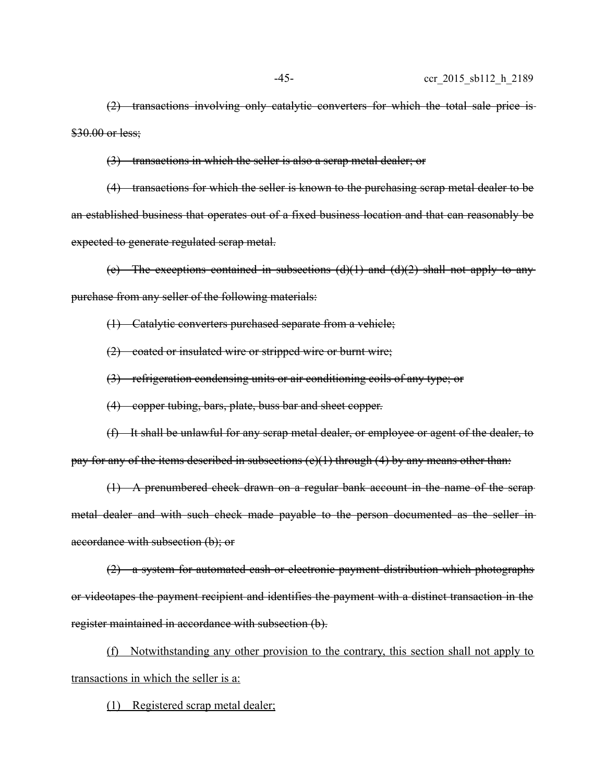(2) transactions involving only catalytic converters for which the total sale price is \$30.00 or less;

(3) transactions in which the seller is also a scrap metal dealer; or

(4) transactions for which the seller is known to the purchasing scrap metal dealer to be an established business that operates out of a fixed business location and that can reasonably be expected to generate regulated scrap metal.

(e) The exceptions contained in subsections  $(d)(1)$  and  $(d)(2)$  shall not apply to any purchase from any seller of the following materials:

(1) Catalytic converters purchased separate from a vehicle;

(2) coated or insulated wire or stripped wire or burnt wire;

(3) refrigeration condensing units or air conditioning coils of any type; or

(4) copper tubing, bars, plate, buss bar and sheet copper.

(f) It shall be unlawful for any scrap metal dealer, or employee or agent of the dealer, to pay for any of the items described in subsections  $(e)(1)$  through  $(4)$  by any means other than:

(1) A prenumbered check drawn on a regular bank account in the name of the scrap metal dealer and with such check made payable to the person documented as the seller in accordance with subsection (b); or

(2) a system for automated cash or electronic payment distribution which photographs or videotapes the payment recipient and identifies the payment with a distinct transaction in the register maintained in accordance with subsection (b).

(f) Notwithstanding any other provision to the contrary, this section shall not apply to transactions in which the seller is a:

(1) Registered scrap metal dealer;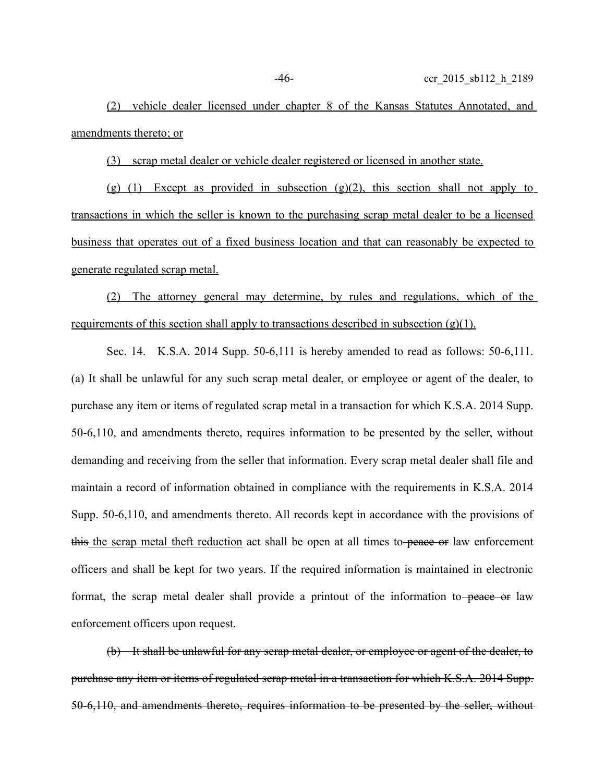(2) vehicle dealer licensed under chapter 8 of the Kansas Statutes Annotated, and amendments thereto; or

(3) scrap metal dealer or vehicle dealer registered or licensed in another state.

(g) (1) Except as provided in subsection (g)(2), this section shall not apply to transactions in which the seller is known to the purchasing scrap metal dealer to be a licensed business that operates out of a fixed business location and that can reasonably be expected to generate regulated scrap metal.

(2) The attorney general may determine, by rules and regulations, which of the requirements of this section shall apply to transactions described in subsection  $(g)(1)$ .

Sec. 14. K.S.A. 2014 Supp. 50-6,111 is hereby amended to read as follows: 50-6,111. (a) It shall be unlawful for any such scrap metal dealer, or employee or agent of the dealer, to purchase any item or items of regulated scrap metal in a transaction for which K.S.A. 2014 Supp. 50-6,110, and amendments thereto, requires information to be presented by the seller, without demanding and receiving from the seller that information. Every scrap metal dealer shall file and maintain a record of information obtained in compliance with the requirements in K.S.A. 2014 Supp. 50-6,110, and amendments thereto. All records kept in accordance with the provisions of this the scrap metal theft reduction act shall be open at all times to-peace or law enforcement officers and shall be kept for two years. If the required information is maintained in electronic format, the scrap metal dealer shall provide a printout of the information to peace or law enforcement officers upon request.

(b) It shall be unlawful for any scrap metal dealer, or employee or agent of the dealer, to purchase any item or items of regulated scrap metal in a transaction for which K.S.A. 2014 Supp. 50-6,110, and amendments thereto, requires information to be presented by the seller, without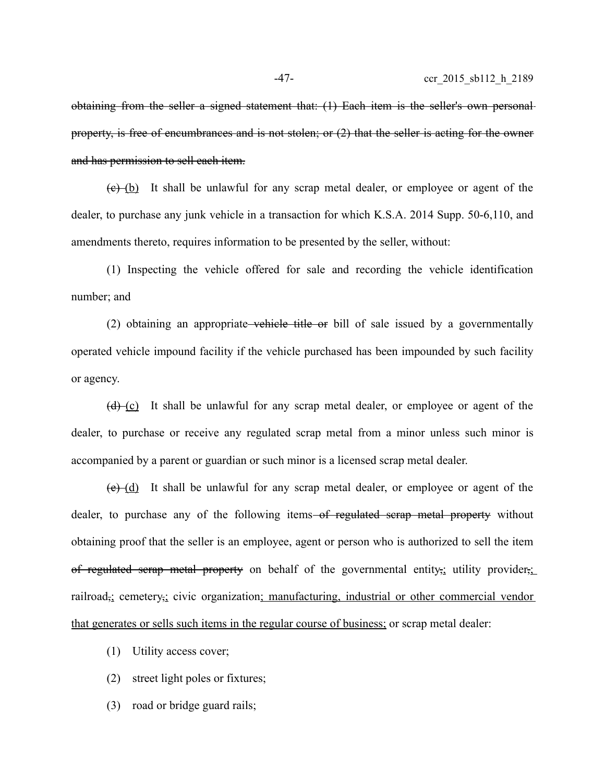obtaining from the seller a signed statement that: (1) Each item is the seller's own personal property, is free of encumbrances and is not stolen; or (2) that the seller is acting for the owner and has permission to sell each item.

 $(e)$  (b) It shall be unlawful for any scrap metal dealer, or employee or agent of the dealer, to purchase any junk vehicle in a transaction for which K.S.A. 2014 Supp. 50-6,110, and amendments thereto, requires information to be presented by the seller, without:

(1) Inspecting the vehicle offered for sale and recording the vehicle identification number; and

(2) obtaining an appropriate vehicle title or bill of sale issued by a governmentally operated vehicle impound facility if the vehicle purchased has been impounded by such facility or agency.

 $(d)$  (c) It shall be unlawful for any scrap metal dealer, or employee or agent of the dealer, to purchase or receive any regulated scrap metal from a minor unless such minor is accompanied by a parent or guardian or such minor is a licensed scrap metal dealer.

 $(e)$  (d) It shall be unlawful for any scrap metal dealer, or employee or agent of the dealer, to purchase any of the following items of regulated serap metal property without obtaining proof that the seller is an employee, agent or person who is authorized to sell the item of regulated scrap metal property on behalf of the governmental entity, utility provider, railroad, cemetery, civic organization; manufacturing, industrial or other commercial vendor that generates or sells such items in the regular course of business; or scrap metal dealer:

(1) Utility access cover;

- (2) street light poles or fixtures;
- (3) road or bridge guard rails;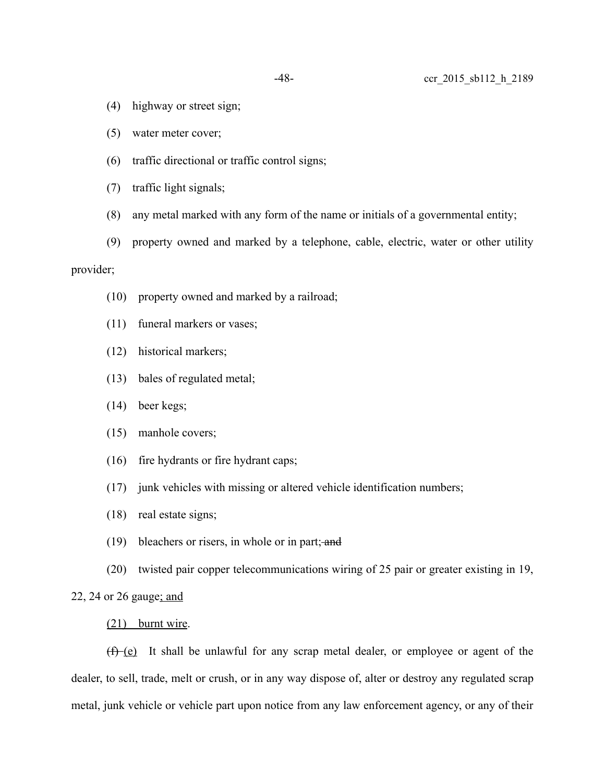- (4) highway or street sign;
- (5) water meter cover;
- (6) traffic directional or traffic control signs;
- (7) traffic light signals;
- (8) any metal marked with any form of the name or initials of a governmental entity;
- (9) property owned and marked by a telephone, cable, electric, water or other utility

## provider;

- (10) property owned and marked by a railroad;
- (11) funeral markers or vases;
- (12) historical markers;
- (13) bales of regulated metal;
- (14) beer kegs;
- (15) manhole covers;
- (16) fire hydrants or fire hydrant caps;
- (17) junk vehicles with missing or altered vehicle identification numbers;
- (18) real estate signs;
- (19) bleachers or risers, in whole or in part; and
- (20) twisted pair copper telecommunications wiring of 25 pair or greater existing in 19,

22, 24 or 26 gauge; and

#### (21) burnt wire.

 $(f)$  (e) It shall be unlawful for any scrap metal dealer, or employee or agent of the dealer, to sell, trade, melt or crush, or in any way dispose of, alter or destroy any regulated scrap metal, junk vehicle or vehicle part upon notice from any law enforcement agency, or any of their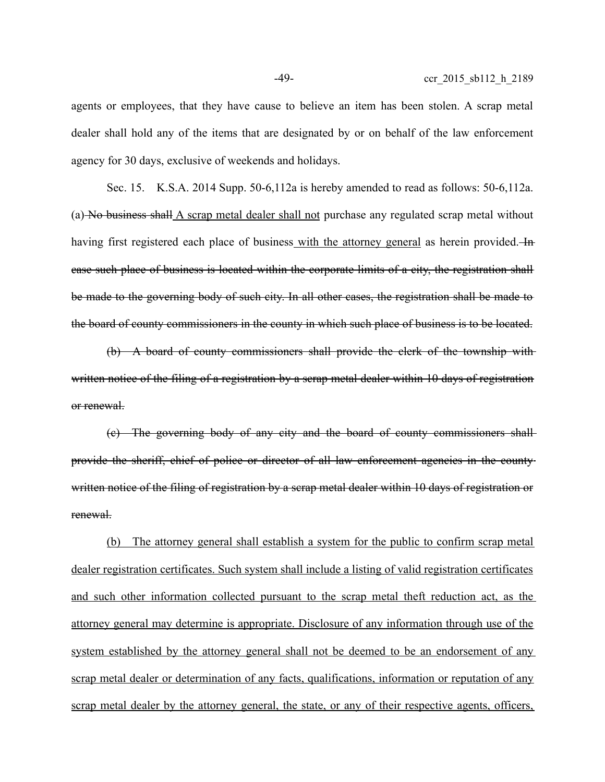agents or employees, that they have cause to believe an item has been stolen. A scrap metal dealer shall hold any of the items that are designated by or on behalf of the law enforcement agency for 30 days, exclusive of weekends and holidays.

Sec. 15. K.S.A. 2014 Supp. 50-6,112a is hereby amended to read as follows: 50-6,112a. (a) No business shall A scrap metal dealer shall not purchase any regulated scrap metal without having first registered each place of business with the attorney general as herein provided. He case such place of business is located within the corporate limits of a city, the registration shall be made to the governing body of such city. In all other cases, the registration shall be made to the board of county commissioners in the county in which such place of business is to be located.

(b) A board of county commissioners shall provide the clerk of the township with written notice of the filing of a registration by a serap metal dealer within 10 days of registration or renewal.

(c) The governing body of any city and the board of county commissioners shall provide the sheriff, chief of police or director of all law enforcement agencies in the county written notice of the filing of registration by a serap metal dealer within 10 days of registration or renewal.

(b) The attorney general shall establish a system for the public to confirm scrap metal dealer registration certificates. Such system shall include a listing of valid registration certificates and such other information collected pursuant to the scrap metal theft reduction act, as the attorney general may determine is appropriate. Disclosure of any information through use of the system established by the attorney general shall not be deemed to be an endorsement of any scrap metal dealer or determination of any facts, qualifications, information or reputation of any scrap metal dealer by the attorney general, the state, or any of their respective agents, officers,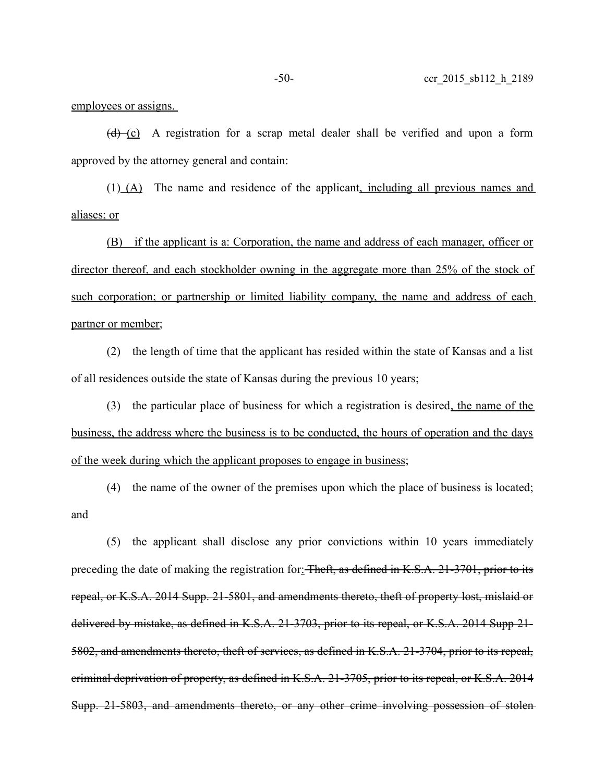employees or assigns.

 $(d)$  (c) A registration for a scrap metal dealer shall be verified and upon a form approved by the attorney general and contain:

 $(1)$  (A) The name and residence of the applicant, including all previous names and aliases; or

(B) if the applicant is a: Corporation, the name and address of each manager, officer or director thereof, and each stockholder owning in the aggregate more than 25% of the stock of such corporation; or partnership or limited liability company, the name and address of each partner or member;

(2) the length of time that the applicant has resided within the state of Kansas and a list of all residences outside the state of Kansas during the previous 10 years;

(3) the particular place of business for which a registration is desired, the name of the business, the address where the business is to be conducted, the hours of operation and the days of the week during which the applicant proposes to engage in business;

(4) the name of the owner of the premises upon which the place of business is located; and

(5) the applicant shall disclose any prior convictions within 10 years immediately preceding the date of making the registration for Fheft, as defined in K.S.A. 21-3701, prior to its repeal, or K.S.A. 2014 Supp. 21-5801, and amendments thereto, theft of property lost, mislaid or delivered by mistake, as defined in K.S.A. 21-3703, prior to its repeal, or K.S.A. 2014 Supp 21- 5802, and amendments thereto, theft of services, as defined in K.S.A. 21-3704, prior to its repeal, criminal deprivation of property, as defined in K.S.A. 21-3705, prior to its repeal, or K.S.A. 2014 Supp. 21-5803, and amendments thereto, or any other crime involving possession of stolen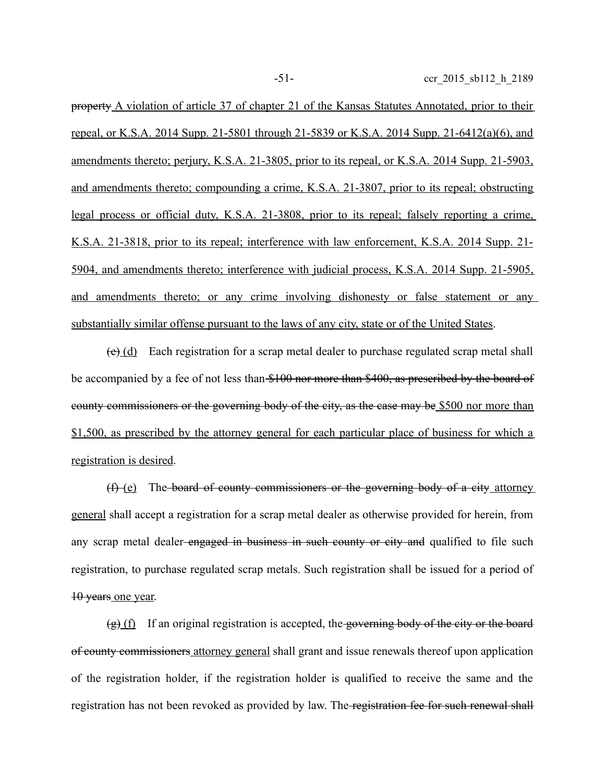property A violation of article 37 of chapter 21 of the Kansas Statutes Annotated, prior to their repeal, or K.S.A. 2014 Supp. 21-5801 through 21-5839 or K.S.A. 2014 Supp. 21-6412(a)(6), and amendments thereto; perjury, K.S.A. 21-3805, prior to its repeal, or K.S.A. 2014 Supp. 21-5903, and amendments thereto; compounding a crime, K.S.A. 21-3807, prior to its repeal; obstructing legal process or official duty, K.S.A. 21-3808, prior to its repeal; falsely reporting a crime, K.S.A. 21-3818, prior to its repeal; interference with law enforcement, K.S.A. 2014 Supp. 21- 5904, and amendments thereto; interference with judicial process, K.S.A. 2014 Supp. 21-5905, and amendments thereto; or any crime involving dishonesty or false statement or any substantially similar offense pursuant to the laws of any city, state or of the United States.

 $(e)$  (d) Each registration for a scrap metal dealer to purchase regulated scrap metal shall be accompanied by a fee of not less than \$100 nor more than \$400, as prescribed by the board of county commissioners or the governing body of the city, as the case may be \$500 nor more than \$1,500, as prescribed by the attorney general for each particular place of business for which a registration is desired.

(f) (e) The board of county commissioners or the governing body of a city attorney general shall accept a registration for a scrap metal dealer as otherwise provided for herein, from any scrap metal dealer-engaged in business in such county or city and qualified to file such registration, to purchase regulated scrap metals. Such registration shall be issued for a period of 10 years one year.

 $\left(\frac{g}{g}\right)$  (f) If an original registration is accepted, the governing body of the city or the board of county commissioners attorney general shall grant and issue renewals thereof upon application of the registration holder, if the registration holder is qualified to receive the same and the registration has not been revoked as provided by law. The registration fee for such renewal shall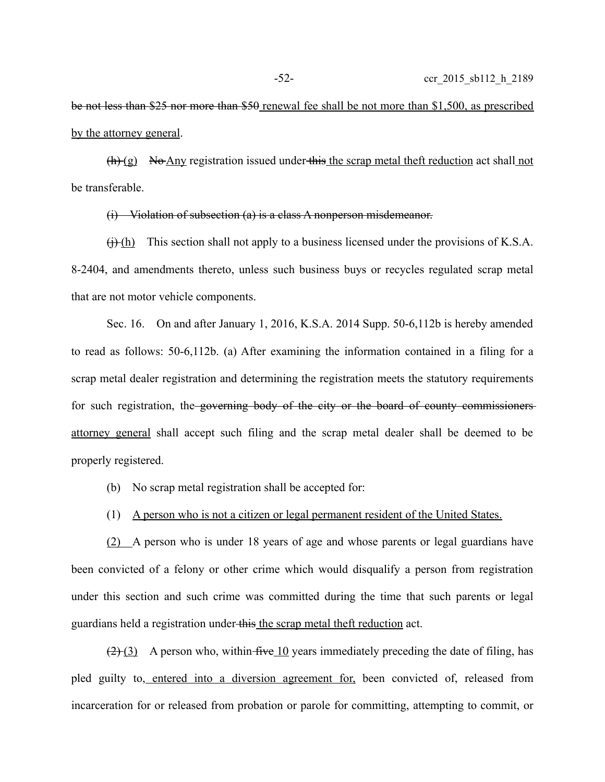be not less than \$25 nor more than \$50 renewal fee shall be not more than \$1,500, as prescribed by the attorney general.

 $(h)$  (g) No Any registration issued under this the scrap metal theft reduction act shall not be transferable.

(i) Violation of subsection (a) is a class A nonperson misdemeanor.

 $(j)$  This section shall not apply to a business licensed under the provisions of K.S.A. 8-2404, and amendments thereto, unless such business buys or recycles regulated scrap metal that are not motor vehicle components.

Sec. 16. On and after January 1, 2016, K.S.A. 2014 Supp. 50-6,112b is hereby amended to read as follows: 50-6,112b. (a) After examining the information contained in a filing for a scrap metal dealer registration and determining the registration meets the statutory requirements for such registration, the governing body of the city or the board of county commissioners attorney general shall accept such filing and the scrap metal dealer shall be deemed to be properly registered.

- (b) No scrap metal registration shall be accepted for:
- (1) A person who is not a citizen or legal permanent resident of the United States.

(2) A person who is under 18 years of age and whose parents or legal guardians have been convicted of a felony or other crime which would disqualify a person from registration under this section and such crime was committed during the time that such parents or legal guardians held a registration under this the scrap metal theft reduction act.

 $(2)$  (3) A person who, within five 10 years immediately preceding the date of filing, has pled guilty to, entered into a diversion agreement for, been convicted of, released from incarceration for or released from probation or parole for committing, attempting to commit, or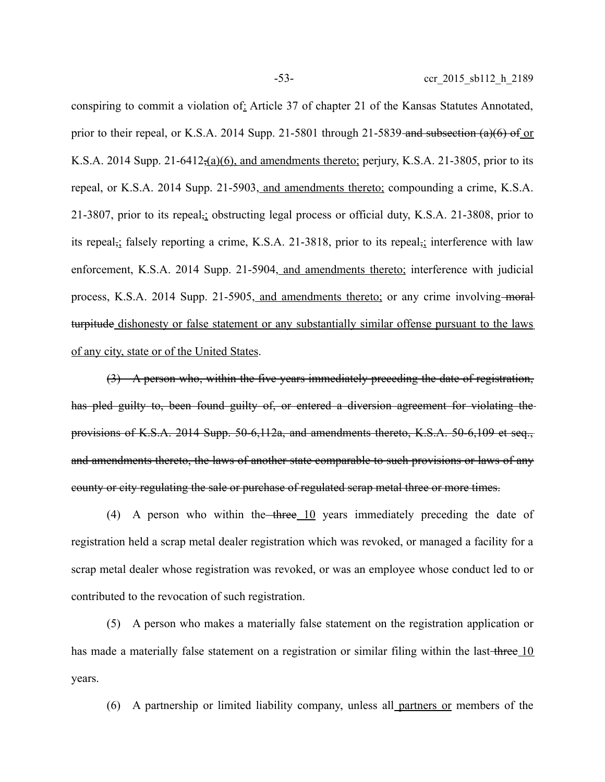conspiring to commit a violation of: Article 37 of chapter 21 of the Kansas Statutes Annotated, prior to their repeal, or K.S.A. 2014 Supp. 21-5801 through 21-5839 and subsection  $(a)(6)$  of or K.S.A. 2014 Supp. 21-6412, $(a)(6)$ , and amendments thereto; perjury, K.S.A. 21-3805, prior to its repeal, or K.S.A. 2014 Supp. 21-5903, and amendments thereto; compounding a crime, K.S.A. 21-3807, prior to its repeal,; obstructing legal process or official duty, K.S.A. 21-3808, prior to its repeal, falsely reporting a crime, K.S.A. 21-3818, prior to its repeal, interference with law enforcement, K.S.A. 2014 Supp. 21-5904, and amendments thereto; interference with judicial process, K.S.A. 2014 Supp. 21-5905, and amendments thereto; or any crime involving moral turpitude dishonesty or false statement or any substantially similar offense pursuant to the laws of any city, state or of the United States.

(3) A person who, within the five years immediately preceding the date of registration, has pled guilty to, been found guilty of, or entered a diversion agreement for violating the provisions of K.S.A. 2014 Supp. 50-6,112a, and amendments thereto, K.S.A. 50-6,109 et seq., and amendments thereto, the laws of another state comparable to such provisions or laws of any county or city regulating the sale or purchase of regulated scrap metal three or more times.

(4) A person who within the  $t$ hree 10 years immediately preceding the date of registration held a scrap metal dealer registration which was revoked, or managed a facility for a scrap metal dealer whose registration was revoked, or was an employee whose conduct led to or contributed to the revocation of such registration.

(5) A person who makes a materially false statement on the registration application or has made a materially false statement on a registration or similar filing within the last-three 10 years.

(6) A partnership or limited liability company, unless all partners or members of the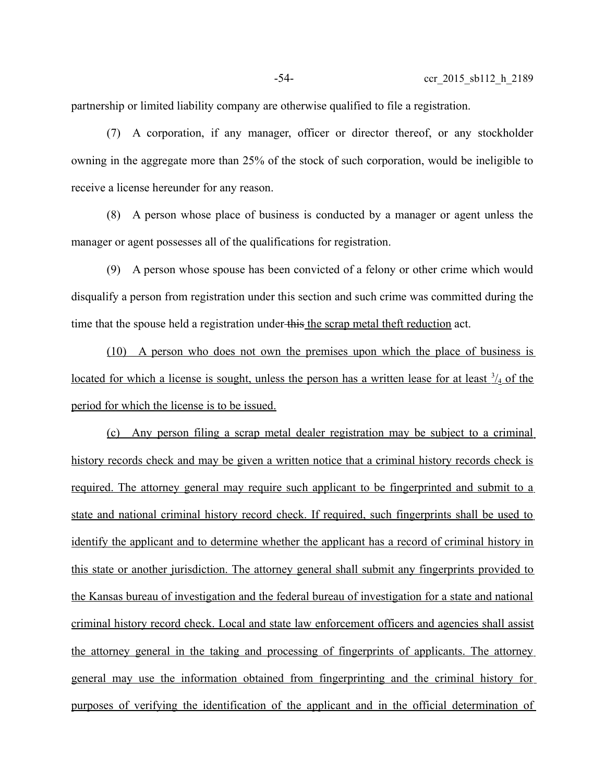partnership or limited liability company are otherwise qualified to file a registration.

(7) A corporation, if any manager, officer or director thereof, or any stockholder owning in the aggregate more than 25% of the stock of such corporation, would be ineligible to receive a license hereunder for any reason.

(8) A person whose place of business is conducted by a manager or agent unless the manager or agent possesses all of the qualifications for registration.

(9) A person whose spouse has been convicted of a felony or other crime which would disqualify a person from registration under this section and such crime was committed during the time that the spouse held a registration under this the scrap metal theft reduction act.

(10) A person who does not own the premises upon which the place of business is located for which a license is sought, unless the person has a written lease for at least  $\frac{3}{4}$  of the period for which the license is to be issued.

(c) Any person filing a scrap metal dealer registration may be subject to a criminal history records check and may be given a written notice that a criminal history records check is required. The attorney general may require such applicant to be fingerprinted and submit to a state and national criminal history record check. If required, such fingerprints shall be used to identify the applicant and to determine whether the applicant has a record of criminal history in this state or another jurisdiction. The attorney general shall submit any fingerprints provided to the Kansas bureau of investigation and the federal bureau of investigation for a state and national criminal history record check. Local and state law enforcement officers and agencies shall assist the attorney general in the taking and processing of fingerprints of applicants. The attorney general may use the information obtained from fingerprinting and the criminal history for purposes of verifying the identification of the applicant and in the official determination of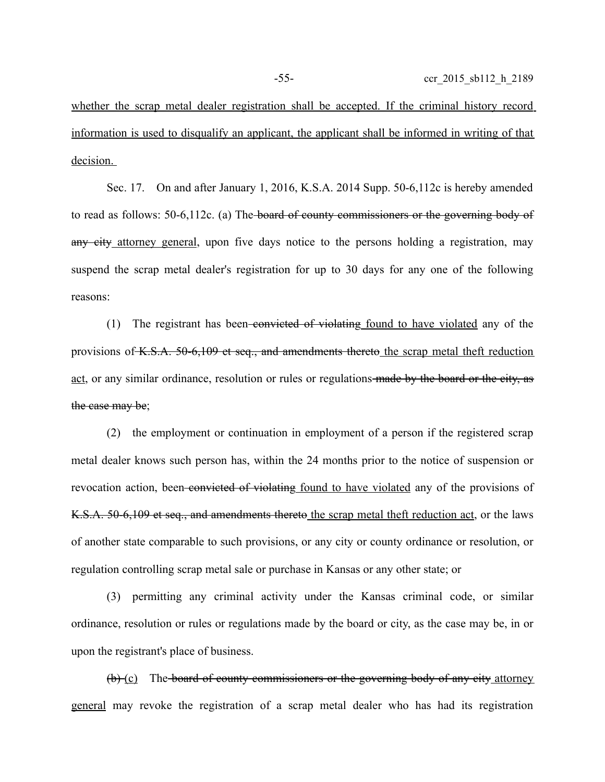whether the scrap metal dealer registration shall be accepted. If the criminal history record information is used to disqualify an applicant, the applicant shall be informed in writing of that decision.

Sec. 17. On and after January 1, 2016, K.S.A. 2014 Supp. 50-6,112c is hereby amended to read as follows: 50-6,112c. (a) The board of county commissioners or the governing body of any city attorney general, upon five days notice to the persons holding a registration, may suspend the scrap metal dealer's registration for up to 30 days for any one of the following reasons:

(1) The registrant has been-convicted of violating found to have violated any of the provisions of K.S.A. 50-6,109 et seq., and amendments thereto the scrap metal theft reduction act, or any similar ordinance, resolution or rules or regulations made by the board or the city, as the case may be;

(2) the employment or continuation in employment of a person if the registered scrap metal dealer knows such person has, within the 24 months prior to the notice of suspension or revocation action, been convicted of violating found to have violated any of the provisions of K.S.A. 50-6,109 et seq., and amendments thereto the scrap metal theft reduction act, or the laws of another state comparable to such provisions, or any city or county ordinance or resolution, or regulation controlling scrap metal sale or purchase in Kansas or any other state; or

(3) permitting any criminal activity under the Kansas criminal code, or similar ordinance, resolution or rules or regulations made by the board or city, as the case may be, in or upon the registrant's place of business.

(b) (c) The board of county commissioners or the governing body of any city attorney general may revoke the registration of a scrap metal dealer who has had its registration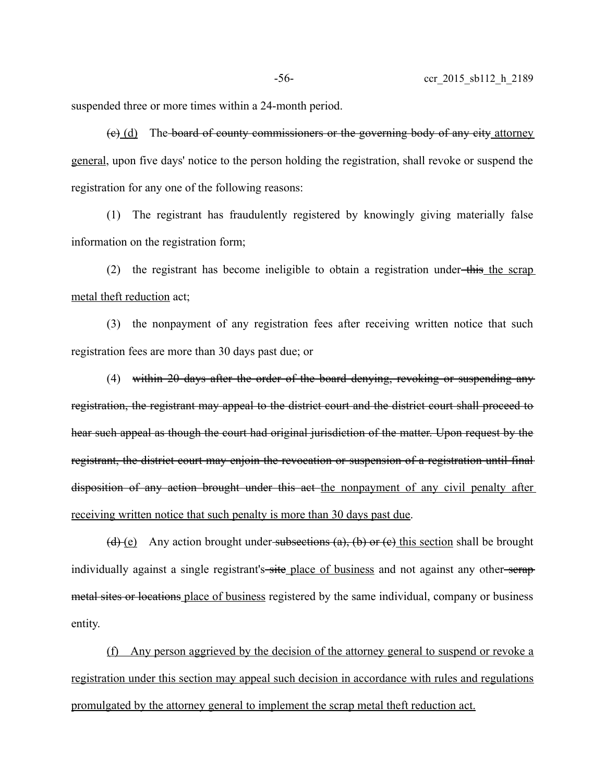suspended three or more times within a 24-month period.

(c) (d) The board of county commissioners or the governing body of any city attorney general, upon five days' notice to the person holding the registration, shall revoke or suspend the registration for any one of the following reasons:

(1) The registrant has fraudulently registered by knowingly giving materially false information on the registration form;

(2) the registrant has become ineligible to obtain a registration under-this the scrap metal theft reduction act;

(3) the nonpayment of any registration fees after receiving written notice that such registration fees are more than 30 days past due; or

(4) within 20 days after the order of the board denying, revoking or suspending any registration, the registrant may appeal to the district court and the district court shall proceed to hear such appeal as though the court had original jurisdiction of the matter. Upon request by the registrant, the district court may enjoin the revocation or suspension of a registration until final disposition of any action brought under this act the nonpayment of any civil penalty after receiving written notice that such penalty is more than 30 days past due.

(d) (e) Any action brought under subsections (a), (b) or (e) this section shall be brought individually against a single registrant's site place of business and not against any other serap metal sites or locations place of business registered by the same individual, company or business entity.

(f) Any person aggrieved by the decision of the attorney general to suspend or revoke a registration under this section may appeal such decision in accordance with rules and regulations promulgated by the attorney general to implement the scrap metal theft reduction act.